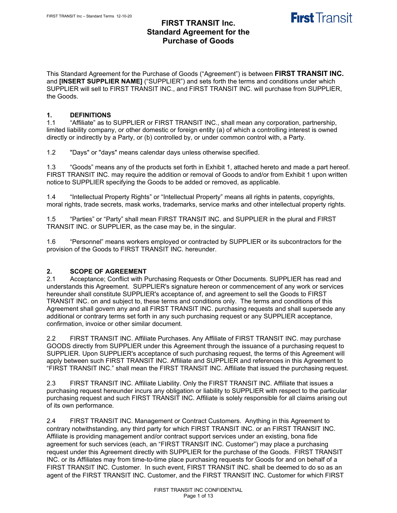This Standard Agreement for the Purchase of Goods ("Agreement") is between **FIRST TRANSIT INC.** and **[INSERT SUPPLIER NAME]** ("SUPPLIER") and sets forth the terms and conditions under which SUPPLIER will sell to FIRST TRANSIT INC., and FIRST TRANSIT INC. will purchase from SUPPLIER, the Goods.

# **1. DEFINITIONS**

"Affiliate" as to SUPPLIER or FIRST TRANSIT INC., shall mean any corporation, partnership, limited liability company, or other domestic or foreign entity (a) of which a controlling interest is owned directly or indirectly by a Party, or (b) controlled by, or under common control with, a Party.

1.2 "Days" or "days" means calendar days unless otherwise specified.

1.3 "Goods" means any of the products set forth in Exhibit 1, attached hereto and made a part hereof. FIRST TRANSIT INC. may require the addition or removal of Goods to and/or from Exhibit 1 upon written notice to SUPPLIER specifying the Goods to be added or removed, as applicable.

1.4 "Intellectual Property Rights" or "Intellectual Property" means all rights in patents, copyrights, moral rights, trade secrets, mask works, trademarks, service marks and other intellectual property rights.

1.5 "Parties" or "Party" shall mean FIRST TRANSIT INC. and SUPPLIER in the plural and FIRST TRANSIT INC. or SUPPLIER, as the case may be, in the singular.

1.6 "Personnel" means workers employed or contracted by SUPPLIER or its subcontractors for the provision of the Goods to FIRST TRANSIT INC. hereunder.

## **2. SCOPE OF AGREEMENT**

2.1 Acceptance; Conflict with Purchasing Requests or Other Documents. SUPPLIER has read and understands this Agreement. SUPPLIER's signature hereon or commencement of any work or services hereunder shall constitute SUPPLIER's acceptance of, and agreement to sell the Goods to FIRST TRANSIT INC. on and subject to, these terms and conditions only. The terms and conditions of this Agreement shall govern any and all FIRST TRANSIT INC. purchasing requests and shall supersede any additional or contrary terms set forth in any such purchasing request or any SUPPLIER acceptance, confirmation, invoice or other similar document.

2.2 FIRST TRANSIT INC. Affiliate Purchases. Any Affiliate of FIRST TRANSIT INC. may purchase GOODS directly from SUPPLIER under this Agreement through the issuance of a purchasing request to SUPPLIER. Upon SUPPLIER's acceptance of such purchasing request, the terms of this Agreement will apply between such FIRST TRANSIT INC. Affiliate and SUPPLIER and references in this Agreement to "FIRST TRANSIT INC." shall mean the FIRST TRANSIT INC. Affiliate that issued the purchasing request.

2.3 FIRST TRANSIT INC. Affiliate Liability. Only the FIRST TRANSIT INC. Affiliate that issues a purchasing request hereunder incurs any obligation or liability to SUPPLIER with respect to the particular purchasing request and such FIRST TRANSIT INC. Affiliate is solely responsible for all claims arising out of its own performance.

2.4 FIRST TRANSIT INC. Management or Contract Customers. Anything in this Agreement to contrary notwithstanding, any third party for which FIRST TRANSIT INC. or an FIRST TRANSIT INC. Affiliate is providing management and/or contract support services under an existing, bona fide agreement for such services (each, an "FIRST TRANSIT INC. Customer") may place a purchasing request under this Agreement directly with SUPPLIER for the purchase of the Goods. FIRST TRANSIT INC. or its Affiliates may from time-to-time place purchasing requests for Goods for and on behalf of a FIRST TRANSIT INC. Customer. In such event, FIRST TRANSIT INC. shall be deemed to do so as an agent of the FIRST TRANSIT INC. Customer, and the FIRST TRANSIT INC. Customer for which FIRST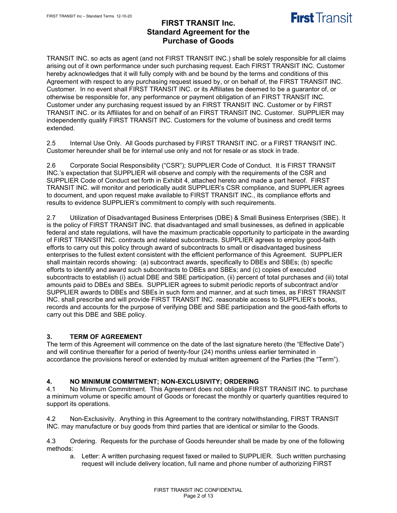# **First Transit**

## **FIRST TRANSIT Inc. Standard Agreement for the Purchase of Goods**

TRANSIT INC. so acts as agent (and not FIRST TRANSIT INC.) shall be solely responsible for all claims arising out of it own performance under such purchasing request. Each FIRST TRANSIT INC. Customer hereby acknowledges that it will fully comply with and be bound by the terms and conditions of this Agreement with respect to any purchasing request issued by, or on behalf of, the FIRST TRANSIT INC. Customer. In no event shall FIRST TRANSIT INC. or its Affiliates be deemed to be a guarantor of, or otherwise be responsible for, any performance or payment obligation of an FIRST TRANSIT INC. Customer under any purchasing request issued by an FIRST TRANSIT INC. Customer or by FIRST TRANSIT INC. or its Affiliates for and on behalf of an FIRST TRANSIT INC. Customer. SUPPLIER may independently qualify FIRST TRANSIT INC. Customers for the volume of business and credit terms extended.

2.5 Internal Use Only. All Goods purchased by FIRST TRANSIT INC. or a FIRST TRANSIT INC. Customer hereunder shall be for internal use only and not for resale or as stock in trade.

2.6 Corporate Social Responsibility ("CSR"); SUPPLIER Code of Conduct. It is FIRST TRANSIT INC.'s expectation that SUPPLIER will observe and comply with the requirements of the CSR and SUPPLIER Code of Conduct set forth in Exhibit 4, attached hereto and made a part hereof. FIRST TRANSIT INC. will monitor and periodically audit SUPPLIER's CSR compliance, and SUPPLIER agrees to document, and upon request make available to FIRST TRANSIT INC., its compliance efforts and results to evidence SUPPLIER's commitment to comply with such requirements.

2.7 Utilization of Disadvantaged Business Enterprises (DBE) & Small Business Enterprises (SBE). It is the policy of FIRST TRANSIT INC. that disadvantaged and small businesses, as defined in applicable federal and state regulations, will have the maximum practicable opportunity to participate in the awarding of FIRST TRANSIT INC. contracts and related subcontracts. SUPPLIER agrees to employ good-faith efforts to carry out this policy through award of subcontracts to small or disadvantaged business enterprises to the fullest extent consistent with the efficient performance of this Agreement. SUPPLIER shall maintain records showing: (a) subcontract awards, specifically to DBEs and SBEs; (b) specific efforts to identify and award such subcontracts to DBEs and SBEs; and (c) copies of executed subcontracts to establish (i) actual DBE and SBE participation, (ii) percent of total purchases and (iii) total amounts paid to DBEs and SBEs. SUPPLIER agrees to submit periodic reports of subcontract and/or SUPPLIER awards to DBEs and SBEs in such form and manner, and at such times, as FIRST TRANSIT INC. shall prescribe and will provide FIRST TRANSIT INC. reasonable access to SUPPLIER's books, records and accounts for the purpose of verifying DBE and SBE participation and the good-faith efforts to carry out this DBE and SBE policy.

## **3. TERM OF AGREEMENT**

The term of this Agreement will commence on the date of the last signature hereto (the "Effective Date") and will continue thereafter for a period of twenty-four (24) months unless earlier terminated in accordance the provisions hereof or extended by mutual written agreement of the Parties (the "Term").

## **4. NO MINIMUM COMMITMENT; NON-EXCLUSIVITY; ORDERING**

No Minimum Commitment. This Agreement does not obligate FIRST TRANSIT INC. to purchase a minimum volume or specific amount of Goods or forecast the monthly or quarterly quantities required to support its operations.

4.2 Non-Exclusivity. Anything in this Agreement to the contrary notwithstanding, FIRST TRANSIT INC. may manufacture or buy goods from third parties that are identical or similar to the Goods.

4.3 Ordering. Requests for the purchase of Goods hereunder shall be made by one of the following methods:

a. Letter: A written purchasing request faxed or mailed to SUPPLIER. Such written purchasing request will include delivery location, full name and phone number of authorizing FIRST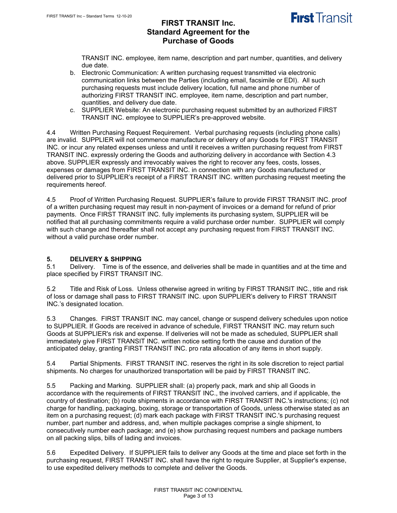# **First Transit**

## **FIRST TRANSIT Inc. Standard Agreement for the Purchase of Goods**

TRANSIT INC. employee, item name, description and part number, quantities, and delivery due date.

- b. Electronic Communication: A written purchasing request transmitted via electronic communication links between the Parties (including email, facsimile or EDI). All such purchasing requests must include delivery location, full name and phone number of authorizing FIRST TRANSIT INC. employee, item name, description and part number, quantities, and delivery due date.
- c. SUPPLIER Website: An electronic purchasing request submitted by an authorized FIRST TRANSIT INC. employee to SUPPLIER's pre-approved website.

4.4 Written Purchasing Request Requirement. Verbal purchasing requests (including phone calls) are invalid. SUPPLIER will not commence manufacture or delivery of any Goods for FIRST TRANSIT INC. or incur any related expenses unless and until it receives a written purchasing request from FIRST TRANSIT INC. expressly ordering the Goods and authorizing delivery in accordance with Section 4.3 above. SUPPLIER expressly and irrevocably waives the right to recover any fees, costs, losses, expenses or damages from FIRST TRANSIT INC. in connection with any Goods manufactured or delivered prior to SUPPLIER's receipt of a FIRST TRANSIT INC. written purchasing request meeting the requirements hereof.

4.5 Proof of Written Purchasing Request. SUPPLIER's failure to provide FIRST TRANSIT INC. proof of a written purchasing request may result in non-payment of invoices or a demand for refund of prior payments. Once FIRST TRANSIT INC. fully implements its purchasing system, SUPPLIER will be notified that all purchasing commitments require a valid purchase order number. SUPPLIER will comply with such change and thereafter shall not accept any purchasing request from FIRST TRANSIT INC. without a valid purchase order number.

# **5. DELIVERY & SHIPPING**

Delivery. Time is of the essence, and deliveries shall be made in quantities and at the time and place specified by FIRST TRANSIT INC.

5.2 Title and Risk of Loss. Unless otherwise agreed in writing by FIRST TRANSIT INC., title and risk of loss or damage shall pass to FIRST TRANSIT INC. upon SUPPLIER's delivery to FIRST TRANSIT INC.'s designated location.

5.3 Changes. FIRST TRANSIT INC. may cancel, change or suspend delivery schedules upon notice to SUPPLIER. If Goods are received in advance of schedule, FIRST TRANSIT INC. may return such Goods at SUPPLIER's risk and expense. If deliveries will not be made as scheduled, SUPPLIER shall immediately give FIRST TRANSIT INC. written notice setting forth the cause and duration of the anticipated delay, granting FIRST TRANSIT INC. pro rata allocation of any items in short supply.

5.4 Partial Shipments. FIRST TRANSIT INC. reserves the right in its sole discretion to reject partial shipments. No charges for unauthorized transportation will be paid by FIRST TRANSIT INC.

5.5 Packing and Marking. SUPPLIER shall: (a) properly pack, mark and ship all Goods in accordance with the requirements of FIRST TRANSIT INC., the involved carriers, and if applicable, the country of destination; (b) route shipments in accordance with FIRST TRANSIT INC.'s instructions; (c) not charge for handling, packaging, boxing, storage or transportation of Goods, unless otherwise stated as an item on a purchasing request; (d) mark each package with FIRST TRANSIT INC.'s purchasing request number, part number and address, and, when multiple packages comprise a single shipment, to consecutively number each package; and (e) show purchasing request numbers and package numbers on all packing slips, bills of lading and invoices.

5.6 Expedited Delivery. If SUPPLIER fails to deliver any Goods at the time and place set forth in the purchasing request, FIRST TRANSIT INC. shall have the right to require Supplier, at Supplier's expense, to use expedited delivery methods to complete and deliver the Goods.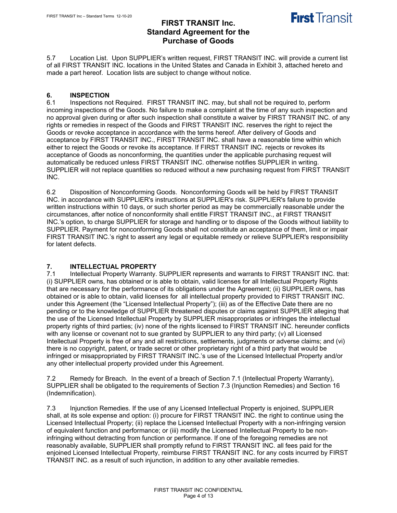**First Transit** 



# **6. INSPECTION**

Inspections not Required. FIRST TRANSIT INC, may, but shall not be required to, perform incoming inspections of the Goods. No failure to make a complaint at the time of any such inspection and no approval given during or after such inspection shall constitute a waiver by FIRST TRANSIT INC. of any rights or remedies in respect of the Goods and FIRST TRANSIT INC. reserves the right to reject the Goods or revoke acceptance in accordance with the terms hereof. After delivery of Goods and acceptance by FIRST TRANSIT INC., FIRST TRANSIT INC. shall have a reasonable time within which either to reject the Goods or revoke its acceptance. If FIRST TRANSIT INC. rejects or revokes its acceptance of Goods as nonconforming, the quantities under the applicable purchasing request will automatically be reduced unless FIRST TRANSIT INC. otherwise notifies SUPPLIER in writing. SUPPLIER will not replace quantities so reduced without a new purchasing request from FIRST TRANSIT INC.

6.2 Disposition of Nonconforming Goods. Nonconforming Goods will be held by FIRST TRANSIT INC. in accordance with SUPPLIER's instructions at SUPPLIER's risk. SUPPLIER's failure to provide written instructions within 10 days, or such shorter period as may be commercially reasonable under the circumstances, after notice of nonconformity shall entitle FIRST TRANSIT INC., at FIRST TRANSIT INC.'s option, to charge SUPPLIER for storage and handling or to dispose of the Goods without liability to SUPPLIER. Payment for nonconforming Goods shall not constitute an acceptance of them, limit or impair FIRST TRANSIT INC.'s right to assert any legal or equitable remedy or relieve SUPPLIER's responsibility for latent defects.

#### **7. INTELLECTUAL PROPERTY**

7.1 Intellectual Property Warranty. SUPPLIER represents and warrants to FIRST TRANSIT INC. that: (i) SUPPLIER owns, has obtained or is able to obtain, valid licenses for all Intellectual Property Rights that are necessary for the performance of its obligations under the Agreement; (ii) SUPPLIER owns, has obtained or is able to obtain, valid licenses for all intellectual property provided to FIRST TRANSIT INC. under this Agreement (the "Licensed Intellectual Property"); (iii) as of the Effective Date there are no pending or to the knowledge of SUPPLIER threatened disputes or claims against SUPPLIER alleging that the use of the Licensed Intellectual Property by SUPPLIER misappropriates or infringes the intellectual property rights of third parties; (iv) none of the rights licensed to FIRST TRANSIT INC. hereunder conflicts with any license or covenant not to sue granted by SUPPLIER to any third party; (v) all Licensed Intellectual Property is free of any and all restrictions, settlements, judgments or adverse claims; and (vi) there is no copyright, patent, or trade secret or other proprietary right of a third party that would be infringed or misappropriated by FIRST TRANSIT INC.'s use of the Licensed Intellectual Property and/or any other intellectual property provided under this Agreement.

7.2 Remedy for Breach. In the event of a breach of Section 7.1 (Intellectual Property Warranty), SUPPLIER shall be obligated to the requirements of Section 7.3 (Injunction Remedies) and Section 16 (Indemnification).

7.3 Injunction Remedies. If the use of any Licensed Intellectual Property is enjoined, SUPPLIER shall, at its sole expense and option: (i) procure for FIRST TRANSIT INC. the right to continue using the Licensed Intellectual Property; (ii) replace the Licensed Intellectual Property with a non-infringing version of equivalent function and performance; or (iii) modify the Licensed Intellectual Property to be noninfringing without detracting from function or performance. If one of the foregoing remedies are not reasonably available, SUPPLIER shall promptly refund to FIRST TRANSIT INC. all fees paid for the enjoined Licensed Intellectual Property, reimburse FIRST TRANSIT INC. for any costs incurred by FIRST TRANSIT INC. as a result of such injunction, in addition to any other available remedies.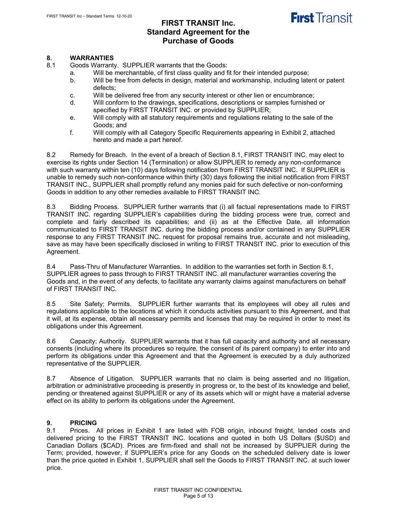# **First Transit**

## **FIRST TRANSIT Inc. Standard Agreement for the Purchase of Goods**

# **8. WARRANTIES**

Goods Warranty. SUPPLIER warrants that the Goods:

- a. Will be merchantable, of first class quality and fit for their intended purpose;
- b. Will be free from defects in design, material and workmanship, including latent or patent defects;
- c. Will be delivered free from any security interest or other lien or encumbrance;
- d. Will conform to the drawings, specifications, descriptions or samples furnished or specified by FIRST TRANSIT INC. or provided by SUPPLIER;
- e. Will comply with all statutory requirements and regulations relating to the sale of the Goods; and
- f. Will comply with all Category Specific Requirements appearing in Exhibit 2, attached hereto and made a part hereof.

8.2 Remedy for Breach. In the event of a breach of Section 8.1, FIRST TRANSIT INC. may elect to exercise its rights under Section 14 (Termination) or allow SUPPLIER to remedy any non-conformance with such warranty within ten (10) days following notification from FIRST TRANSIT INC. If SUPPLIER is unable to remedy such non-conformance within thirty (30) days following the initial notification from FIRST TRANSIT INC., SUPPLIER shall promptly refund any monies paid for such defective or non-conforming Goods in addition to any other remedies available to FIRST TRANSIT INC.

8.3 Bidding Process. SUPPLIER further warrants that (i) all factual representations made to FIRST TRANSIT INC. regarding SUPPLIER's capabilities during the bidding process were true, correct and complete and fairly described its capabilities; and (ii) as at the Effective Date, all information communicated to FIRST TRANSIT INC. during the bidding process and/or contained in any SUPPLIER response to any FIRST TRANSIT INC. request for proposal remains true, accurate and not misleading, save as may have been specifically disclosed in writing to FIRST TRANSIT INC. prior to execution of this Agreement.

8.4 Pass-Thru of Manufacturer Warranties. In addition to the warranties set forth in Section 8.1, SUPPLIER agrees to pass through to FIRST TRANSIT INC. all manufacturer warranties covering the Goods and, in the event of any defects, to facilitate any warranty claims against manufacturers on behalf of FIRST TRANSIT INC.

8.5 Site Safety; Permits. SUPPLIER further warrants that its employees will obey all rules and regulations applicable to the locations at which it conducts activities pursuant to this Agreement, and that it will, at its expense, obtain all necessary permits and licenses that may be required in order to meet its obligations under this Agreement.

8.6 Capacity; Authority. SUPPLIER warrants that it has full capacity and authority and all necessary consents (including where its procedures so require, the consent of its parent company) to enter into and perform its obligations under this Agreement and that the Agreement is executed by a duly authorized representative of the SUPPLIER.

8.7 Absence of Litigation. SUPPLIER warrants that no claim is being asserted and no litigation, arbitration or administrative proceeding is presently in progress or, to the best of its knowledge and belief, pending or threatened against SUPPLIER or any of its assets which will or might have a material adverse effect on its ability to perform its obligations under the Agreement.

# **9. PRICING**

Prices. All prices in Exhibit 1 are listed with FOB origin, inbound freight, landed costs and delivered pricing to the FIRST TRANSIT INC. locations and quoted in both US Dollars (\$USD) and Canadian Dollars (\$CAD). Prices are firm-fixed and shall not be increased by SUPPLIER during the Term; provided, however, if SUPPLIER's price for any Goods on the scheduled delivery date is lower than the price quoted in Exhibit 1, SUPPLIER shall sell the Goods to FIRST TRANSIT INC. at such lower price.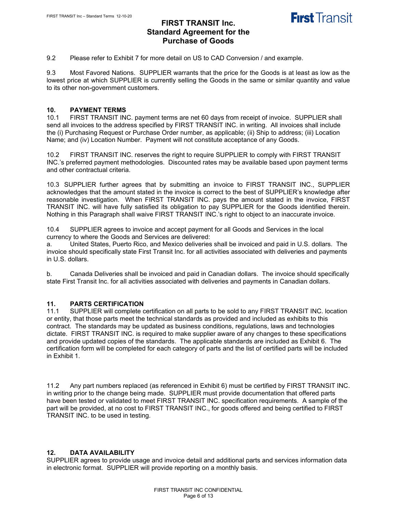

9.2 Please refer to Exhibit 7 for more detail on US to CAD Conversion / and example.

9.3 Most Favored Nations. SUPPLIER warrants that the price for the Goods is at least as low as the lowest price at which SUPPLIER is currently selling the Goods in the same or similar quantity and value to its other non-government customers.

# **10. PAYMENT TERMS**

FIRST TRANSIT INC. payment terms are net 60 days from receipt of invoice. SUPPLIER shall send all invoices to the address specified by FIRST TRANSIT INC. in writing. All invoices shall include the (i) Purchasing Request or Purchase Order number, as applicable; (ii) Ship to address; (iii) Location Name; and (iv) Location Number. Payment will not constitute acceptance of any Goods.

10.2 FIRST TRANSIT INC. reserves the right to require SUPPLIER to comply with FIRST TRANSIT INC.'s preferred payment methodologies. Discounted rates may be available based upon payment terms and other contractual criteria.

10.3 SUPPLIER further agrees that by submitting an invoice to FIRST TRANSIT INC., SUPPLIER acknowledges that the amount stated in the invoice is correct to the best of SUPPLIER's knowledge after reasonable investigation. When FIRST TRANSIT INC. pays the amount stated in the invoice, FIRST TRANSIT INC. will have fully satisfied its obligation to pay SUPPLIER for the Goods identified therein. Nothing in this Paragraph shall waive FIRST TRANSIT INC.'s right to object to an inaccurate invoice.

10.4 SUPPLIER agrees to invoice and accept payment for all Goods and Services in the local currency to where the Goods and Services are delivered:

a. United States, Puerto Rico, and Mexico deliveries shall be invoiced and paid in U.S. dollars. The invoice should specifically state First Transit Inc. for all activities associated with deliveries and payments in U.S. dollars.

b. Canada Deliveries shall be invoiced and paid in Canadian dollars. The invoice should specifically state First Transit Inc. for all activities associated with deliveries and payments in Canadian dollars.

#### **11. PARTS CERTIFICATION**

11.1 SUPPLIER will complete certification on all parts to be sold to any FIRST TRANSIT INC. location or entity, that those parts meet the technical standards as provided and included as exhibits to this contract. The standards may be updated as business conditions, regulations, laws and technologies dictate. FIRST TRANSIT INC. is required to make supplier aware of any changes to these specifications and provide updated copies of the standards. The applicable standards are included as Exhibit 6. The certification form will be completed for each category of parts and the list of certified parts will be included in Exhibit 1.

11.2 Any part numbers replaced (as referenced in Exhibit 6) must be certified by FIRST TRANSIT INC. in writing prior to the change being made. SUPPLIER must provide documentation that offered parts have been tested or validated to meet FIRST TRANSIT INC. specification requirements. A sample of the part will be provided, at no cost to FIRST TRANSIT INC., for goods offered and being certified to FIRST TRANSIT INC. to be used in testing.

#### **12. DATA AVAILABILITY**

SUPPLIER agrees to provide usage and invoice detail and additional parts and services information data in electronic format. SUPPLIER will provide reporting on a monthly basis.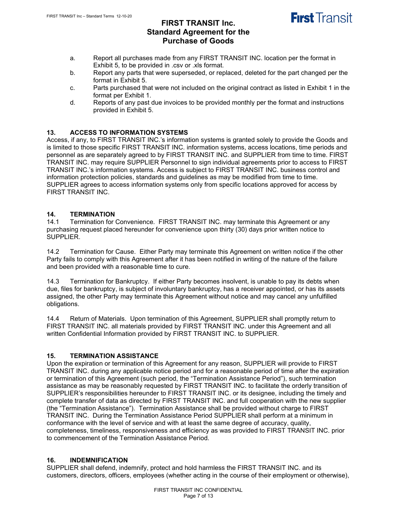

- a. Report all purchases made from any FIRST TRANSIT INC. location per the format in Exhibit 5, to be provided in .csv or .xls format.
- b. Report any parts that were superseded, or replaced, deleted for the part changed per the format in Exhibit 5.
- c. Parts purchased that were not included on the original contract as listed in Exhibit 1 in the format per Exhibit 1.
- d. Reports of any past due invoices to be provided monthly per the format and instructions provided in Exhibit 5.

## **13. ACCESS TO INFORMATION SYSTEMS**

Access, if any, to FIRST TRANSIT INC.'s information systems is granted solely to provide the Goods and is limited to those specific FIRST TRANSIT INC. information systems, access locations, time periods and personnel as are separately agreed to by FIRST TRANSIT INC. and SUPPLIER from time to time. FIRST TRANSIT INC. may require SUPPLIER Personnel to sign individual agreements prior to access to FIRST TRANSIT INC.'s information systems. Access is subject to FIRST TRANSIT INC. business control and information protection policies, standards and guidelines as may be modified from time to time. SUPPLIER agrees to access information systems only from specific locations approved for access by FIRST TRANSIT INC.

# **14. TERMINATION**

Termination for Convenience. FIRST TRANSIT INC. may terminate this Agreement or any purchasing request placed hereunder for convenience upon thirty (30) days prior written notice to SUPPLIER.

14.2 Termination for Cause.Either Party may terminate this Agreement on written notice if the other Party fails to comply with this Agreement after it has been notified in writing of the nature of the failure and been provided with a reasonable time to cure.

14.3 Termination for Bankruptcy.If either Party becomes insolvent, is unable to pay its debts when due, files for bankruptcy, is subject of involuntary bankruptcy, has a receiver appointed, or has its assets assigned, the other Party may terminate this Agreement without notice and may cancel any unfulfilled obligations.

14.4 Return of Materials.Upon termination of this Agreement, SUPPLIER shall promptly return to FIRST TRANSIT INC. all materials provided by FIRST TRANSIT INC. under this Agreement and all written Confidential Information provided by FIRST TRANSIT INC. to SUPPLIER.

## **15. TERMINATION ASSISTANCE**

Upon the expiration or termination of this Agreement for any reason, SUPPLIER will provide to FIRST TRANSIT INC. during any applicable notice period and for a reasonable period of time after the expiration or termination of this Agreement (such period, the "Termination Assistance Period"), such termination assistance as may be reasonably requested by FIRST TRANSIT INC. to facilitate the orderly transition of SUPPLIER's responsibilities hereunder to FIRST TRANSIT INC. or its designee, including the timely and complete transfer of data as directed by FIRST TRANSIT INC. and full cooperation with the new supplier (the "Termination Assistance"). Termination Assistance shall be provided without charge to FIRST TRANSIT INC. During the Termination Assistance Period SUPPLIER shall perform at a minimum in conformance with the level of service and with at least the same degree of accuracy, quality, completeness, timeliness, responsiveness and efficiency as was provided to FIRST TRANSIT INC. prior to commencement of the Termination Assistance Period.

## **16. INDEMNIFICATION**

SUPPLIER shall defend, indemnify, protect and hold harmless the FIRST TRANSIT INC. and its customers, directors, officers, employees (whether acting in the course of their employment or otherwise),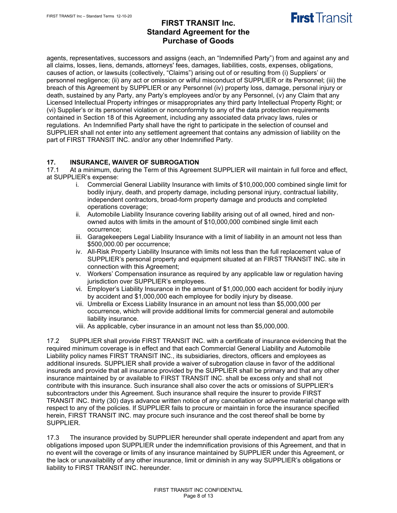

agents, representatives, successors and assigns (each, an "Indemnified Party") from and against any and all claims, losses, liens, demands, attorneys' fees, damages, liabilities, costs, expenses, obligations, causes of action, or lawsuits (collectively, "Claims") arising out of or resulting from (i) Suppliers' or personnel negligence; (ii) any act or omission or wilful misconduct of SUPPLIER or its Personnel; (iii) the breach of this Agreement by SUPPLIER or any Personnel (iv) property loss, damage, personal injury or death, sustained by any Party, any Party's employees and/or by any Personnel, (v) any Claim that any Licensed Intellectual Property infringes or misappropriates any third party Intellectual Property Right; or (vi) Supplier's or its personnel violation or nonconformity to any of the data protection requirements contained in Section 18 of this Agreement, including any associated data privacy laws, rules or regulations. An Indemnified Party shall have the right to participate in the selection of counsel and SUPPLIER shall not enter into any settlement agreement that contains any admission of liability on the part of FIRST TRANSIT INC. and/or any other Indemnified Party.

#### **17. INSURANCE, WAIVER OF SUBROGATION**

17.1 At a minimum, during the Term of this Agreement SUPPLIER will maintain in full force and effect, at SUPPLIER's expense:

- i. Commercial General Liability Insurance with limits of \$10,000,000 combined single limit for bodily injury, death, and property damage, including personal injury, contractual liability, independent contractors, broad-form property damage and products and completed operations coverage;
- ii. Automobile Liability Insurance covering liability arising out of all owned, hired and nonowned autos with limits in the amount of \$10,000,000 combined single limit each occurrence;
- iii. Garagekeepers Legal Liability Insurance with a limit of liability in an amount not less than \$500,000.00 per occurrence;
- iv. All-Risk Property Liability Insurance with limits not less than the full replacement value of SUPPLIER's personal property and equipment situated at an FIRST TRANSIT INC. site in connection with this Agreement;
- v. Workers' Compensation insurance as required by any applicable law or regulation having jurisdiction over SUPPLIER's employees.
- vi. Employer's Liability Insurance in the amount of \$1,000,000 each accident for bodily injury by accident and \$1,000,000 each employee for bodily injury by disease.
- vii. Umbrella or Excess Liability Insurance in an amount not less than \$5,000,000 per occurrence, which will provide additional limits for commercial general and automobile liability insurance.
- viii. As applicable, cyber insurance in an amount not less than \$5,000,000.

17.2 SUPPLIER shall provide FIRST TRANSIT INC. with a certificate of insurance evidencing that the required minimum coverage is in effect and that each Commercial General Liability and Automobile Liability policy names FIRST TRANSIT INC., its subsidiaries, directors, officers and employees as additional insureds. SUPPLIER shall provide a waiver of subrogation clause in favor of the additional insureds and provide that all insurance provided by the SUPPLIER shall be primary and that any other insurance maintained by or available to FIRST TRANSIT INC. shall be excess only and shall not contribute with this insurance. Such insurance shall also cover the acts or omissions of SUPPLIER's subcontractors under this Agreement. Such insurance shall require the insurer to provide FIRST TRANSIT INC. thirty (30) days advance written notice of any cancellation or adverse material change with respect to any of the policies. If SUPPLIER fails to procure or maintain in force the insurance specified herein, FIRST TRANSIT INC. may procure such insurance and the cost thereof shall be borne by SUPPLIER.

17.3 The insurance provided by SUPPLIER hereunder shall operate independent and apart from any obligations imposed upon SUPPLIER under the indemnification provisions of this Agreement, and that in no event will the coverage or limits of any insurance maintained by SUPPLIER under this Agreement, or the lack or unavailability of any other insurance, limit or diminish in any way SUPPLIER's obligations or liability to FIRST TRANSIT INC. hereunder.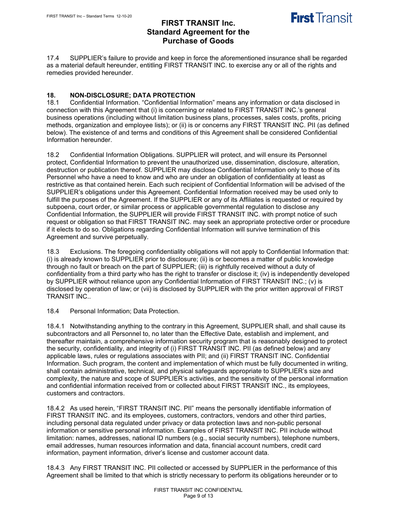

17.4 SUPPLIER's failure to provide and keep in force the aforementioned insurance shall be regarded as a material default hereunder, entitling FIRST TRANSIT INC. to exercise any or all of the rights and remedies provided hereunder.

# **18. NON-DISCLOSURE; DATA PROTECTION**

Confidential Information. "Confidential Information" means any information or data disclosed in connection with this Agreement that (i) is concerning or related to FIRST TRANSIT INC.'s general business operations (including without limitation business plans, processes, sales costs, profits, pricing methods, organization and employee lists); or (ii) is or concerns any FIRST TRANSIT INC. PII (as defined below). The existence of and terms and conditions of this Agreement shall be considered Confidential Information hereunder.

18.2 Confidential Information Obligations. SUPPLIER will protect, and will ensure its Personnel protect, Confidential Information to prevent the unauthorized use, dissemination, disclosure, alteration, destruction or publication thereof. SUPPLIER may disclose Confidential Information only to those of its Personnel who have a need to know and who are under an obligation of confidentiality at least as restrictive as that contained herein. Each such recipient of Confidential Information will be advised of the SUPPLIER's obligations under this Agreement. Confidential Information received may be used only to fulfill the purposes of the Agreement. If the SUPPLIER or any of its Affiliates is requested or required by subpoena, court order, or similar process or applicable governmental regulation to disclose any Confidential Information, the SUPPLIER will provide FIRST TRANSIT INC. with prompt notice of such request or obligation so that FIRST TRANSIT INC. may seek an appropriate protective order or procedure if it elects to do so. Obligations regarding Confidential Information will survive termination of this Agreement and survive perpetually.

18.3 Exclusions. The foregoing confidentiality obligations will not apply to Confidential Information that: (i) is already known to SUPPLIER prior to disclosure; (ii) is or becomes a matter of public knowledge through no fault or breach on the part of SUPPLIER; (iii) is rightfully received without a duty of confidentiality from a third party who has the right to transfer or disclose it; (iv) is independently developed by SUPPLIER without reliance upon any Confidential Information of FIRST TRANSIT INC.; (v) is disclosed by operation of law; or (vii) is disclosed by SUPPLIER with the prior written approval of FIRST TRANSIT INC..

18.4 Personal Information; Data Protection.

18.4.1 Notwithstanding anything to the contrary in this Agreement, SUPPLIER shall, and shall cause its subcontractors and all Personnel to, no later than the Effective Date, establish and implement, and thereafter maintain, a comprehensive information security program that is reasonably designed to protect the security, confidentiality, and integrity of (i) FIRST TRANSIT INC. PII (as defined below) and any applicable laws, rules or regulations associates with PII; and (ii) FIRST TRANSIT INC. Confidential Information. Such program, the content and implementation of which must be fully documented in writing, shall contain administrative, technical, and physical safeguards appropriate to SUPPLIER's size and complexity, the nature and scope of SUPPLIER's activities, and the sensitivity of the personal information and confidential information received from or collected about FIRST TRANSIT INC., its employees, customers and contractors.

18.4.2 As used herein, "FIRST TRANSIT INC. PII" means the personally identifiable information of FIRST TRANSIT INC. and its employees, customers, contractors, vendors and other third parties, including personal data regulated under privacy or data protection laws and non-public personal information or sensitive personal information. Examples of FIRST TRANSIT INC. PII include without limitation: names, addresses, national ID numbers (e.g., social security numbers), telephone numbers, email addresses, human resources information and data, financial account numbers, credit card information, payment information, driver's license and customer account data.

18.4.3 Any FIRST TRANSIT INC. PII collected or accessed by SUPPLIER in the performance of this Agreement shall be limited to that which is strictly necessary to perform its obligations hereunder or to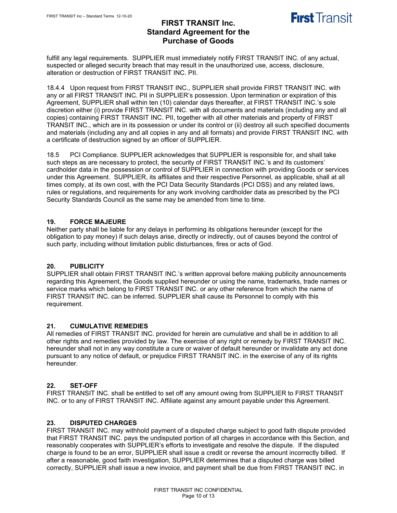

fulfill any legal requirements. SUPPLIER must immediately notify FIRST TRANSIT INC. of any actual, suspected or alleged security breach that may result in the unauthorized use, access, disclosure, alteration or destruction of FIRST TRANSIT INC. PII.

18.4.4 Upon request from FIRST TRANSIT INC., SUPPLIER shall provide FIRST TRANSIT INC. with any or all FIRST TRANSIT INC. PII in SUPPLIER's possession. Upon termination or expiration of this Agreement, SUPPLIER shall within ten (10) calendar days thereafter, at FIRST TRANSIT INC.'s sole discretion either (i) provide FIRST TRANSIT INC. with all documents and materials (including any and all copies) containing FIRST TRANSIT INC. PII, together with all other materials and property of FIRST TRANSIT INC., which are in its possession or under its control or (ii) destroy all such specified documents and materials (including any and all copies in any and all formats) and provide FIRST TRANSIT INC. with a certificate of destruction signed by an officer of SUPPLIER.

18.5 PCI Compliance. SUPPLIER acknowledges that SUPPLIER is responsible for, and shall take such steps as are necessary to protect, the security of FIRST TRANSIT INC.'s and its customers' cardholder data in the possession or control of SUPPLIER in connection with providing Goods or services under this Agreement. SUPPLIER, its affiliates and their respective Personnel, as applicable, shall at all times comply, at its own cost, with the PCI Data Security Standards (PCI DSS) and any related laws, rules or regulations, and requirements for any work involving cardholder data as prescribed by the PCI Security Standards Council as the same may be amended from time to time.

## **19. FORCE MAJEURE**

Neither party shall be liable for any delays in performing its obligations hereunder (except for the obligation to pay money) if such delays arise, directly or indirectly, out of causes beyond the control of such party, including without limitation public disturbances, fires or acts of God.

## **20. PUBLICITY**

SUPPLIER shall obtain FIRST TRANSIT INC.'s written approval before making publicity announcements regarding this Agreement, the Goods supplied hereunder or using the name, trademarks, trade names or service marks which belong to FIRST TRANSIT INC. or any other reference from which the name of FIRST TRANSIT INC. can be inferred. SUPPLIER shall cause its Personnel to comply with this requirement.

## **21. CUMULATIVE REMEDIES**

All remedies of FIRST TRANSIT INC. provided for herein are cumulative and shall be in addition to all other rights and remedies provided by law. The exercise of any right or remedy by FIRST TRANSIT INC. hereunder shall not in any way constitute a cure or waiver of default hereunder or invalidate any act done pursuant to any notice of default, or prejudice FIRST TRANSIT INC. in the exercise of any of its rights hereunder.

#### **22. SET-OFF**

FIRST TRANSIT INC. shall be entitled to set off any amount owing from SUPPLIER to FIRST TRANSIT INC. or to any of FIRST TRANSIT INC. Affiliate against any amount payable under this Agreement.

#### **23. DISPUTED CHARGES**

FIRST TRANSIT INC. may withhold payment of a disputed charge subject to good faith dispute provided that FIRST TRANSIT INC. pays the undisputed portion of all charges in accordance with this Section, and reasonably cooperates with SUPPLIER's efforts to investigate and resolve the dispute. If the disputed charge is found to be an error, SUPPLIER shall issue a credit or reverse the amount incorrectly billed. If after a reasonable, good faith investigation, SUPPLIER determines that a disputed charge was billed correctly, SUPPLIER shall issue a new invoice, and payment shall be due from FIRST TRANSIT INC. in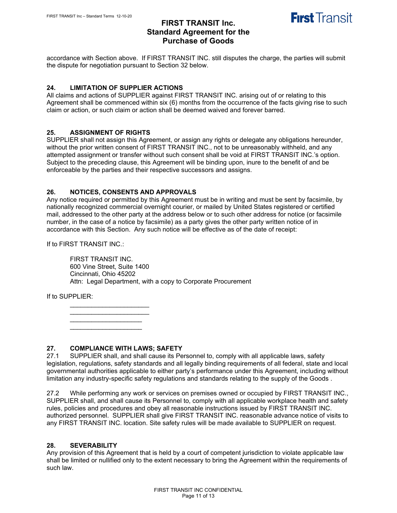

accordance with Section above. If FIRST TRANSIT INC. still disputes the charge, the parties will submit the dispute for negotiation pursuant to Section 32 below.

### **24. LIMITATION OF SUPPLIER ACTIONS**

All claims and actions of SUPPLIER against FIRST TRANSIT INC. arising out of or relating to this Agreement shall be commenced within six (6) months from the occurrence of the facts giving rise to such claim or action, or such claim or action shall be deemed waived and forever barred.

### **25. ASSIGNMENT OF RIGHTS**

SUPPLIER shall not assign this Agreement, or assign any rights or delegate any obligations hereunder, without the prior written consent of FIRST TRANSIT INC., not to be unreasonably withheld, and any attempted assignment or transfer without such consent shall be void at FIRST TRANSIT INC.'s option. Subject to the preceding clause, this Agreement will be binding upon, inure to the benefit of and be enforceable by the parties and their respective successors and assigns.

### **26. NOTICES, CONSENTS AND APPROVALS**

Any notice required or permitted by this Agreement must be in writing and must be sent by facsimile, by nationally recognized commercial overnight courier, or mailed by United States registered or certified mail, addressed to the other party at the address below or to such other address for notice (or facsimile number, in the case of a notice by facsimile) as a party gives the other party written notice of in accordance with this Section. Any such notice will be effective as of the date of receipt:

If to FIRST TRANSIT INC.:

FIRST TRANSIT INC. 600 Vine Street, Suite 1400 Cincinnati, Ohio 45202 Attn: Legal Department, with a copy to Corporate Procurement

If to SUPPLIER:

\_\_\_\_\_\_\_\_\_\_\_\_\_\_\_\_\_\_\_\_\_\_ \_\_\_\_\_\_\_\_\_\_\_\_\_\_\_\_\_\_\_\_\_\_  $\overline{\phantom{a}}$  , and the set of the set of the set of the set of the set of the set of the set of the set of the set of the set of the set of the set of the set of the set of the set of the set of the set of the set of the s \_\_\_\_\_\_\_\_\_\_\_\_\_\_\_\_\_\_\_\_

## **27. COMPLIANCE WITH LAWS; SAFETY**

SUPPLIER shall, and shall cause its Personnel to, comply with all applicable laws, safety legislation, regulations, safety standards and all legally binding requirements of all federal, state and local governmental authorities applicable to either party's performance under this Agreement, including without limitation any industry-specific safety regulations and standards relating to the supply of the Goods .

27.2 While performing any work or services on premises owned or occupied by FIRST TRANSIT INC., SUPPLIER shall, and shall cause its Personnel to, comply with all applicable workplace health and safety rules, policies and procedures and obey all reasonable instructions issued by FIRST TRANSIT INC. authorized personnel. SUPPLIER shall give FIRST TRANSIT INC. reasonable advance notice of visits to any FIRST TRANSIT INC. location. Site safety rules will be made available to SUPPLIER on request.

#### **28. SEVERABILITY**

Any provision of this Agreement that is held by a court of competent jurisdiction to violate applicable law shall be limited or nullified only to the extent necessary to bring the Agreement within the requirements of such law.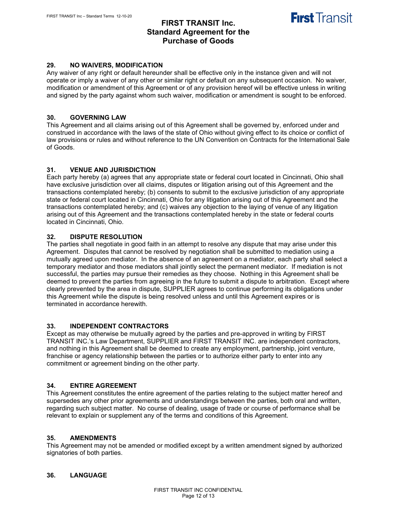

#### **29. NO WAIVERS, MODIFICATION**

Any waiver of any right or default hereunder shall be effective only in the instance given and will not operate or imply a waiver of any other or similar right or default on any subsequent occasion. No waiver, modification or amendment of this Agreement or of any provision hereof will be effective unless in writing and signed by the party against whom such waiver, modification or amendment is sought to be enforced.

#### **30. GOVERNING LAW**

This Agreement and all claims arising out of this Agreement shall be governed by, enforced under and construed in accordance with the laws of the state of Ohio without giving effect to its choice or conflict of law provisions or rules and without reference to the UN Convention on Contracts for the International Sale of Goods.

#### **31. VENUE AND JURISDICTION**

Each party hereby (a) agrees that any appropriate state or federal court located in Cincinnati, Ohio shall have exclusive jurisdiction over all claims, disputes or litigation arising out of this Agreement and the transactions contemplated hereby; (b) consents to submit to the exclusive jurisdiction of any appropriate state or federal court located in Cincinnati, Ohio for any litigation arising out of this Agreement and the transactions contemplated hereby; and (c) waives any objection to the laying of venue of any litigation arising out of this Agreement and the transactions contemplated hereby in the state or federal courts located in Cincinnati, Ohio.

#### **32. DISPUTE RESOLUTION**

The parties shall negotiate in good faith in an attempt to resolve any dispute that may arise under this Agreement. Disputes that cannot be resolved by negotiation shall be submitted to mediation using a mutually agreed upon mediator. In the absence of an agreement on a mediator, each party shall select a temporary mediator and those mediators shall jointly select the permanent mediator. If mediation is not successful, the parties may pursue their remedies as they choose. Nothing in this Agreement shall be deemed to prevent the parties from agreeing in the future to submit a dispute to arbitration. Except where clearly prevented by the area in dispute, SUPPLIER agrees to continue performing its obligations under this Agreement while the dispute is being resolved unless and until this Agreement expires or is terminated in accordance herewith.

#### **33. INDEPENDENT CONTRACTORS**

Except as may otherwise be mutually agreed by the parties and pre-approved in writing by FIRST TRANSIT INC.'s Law Department, SUPPLIER and FIRST TRANSIT INC. are independent contractors, and nothing in this Agreement shall be deemed to create any employment, partnership, joint venture, franchise or agency relationship between the parties or to authorize either party to enter into any commitment or agreement binding on the other party.

#### **34. ENTIRE AGREEMENT**

This Agreement constitutes the entire agreement of the parties relating to the subject matter hereof and supersedes any other prior agreements and understandings between the parties, both oral and written, regarding such subject matter. No course of dealing, usage of trade or course of performance shall be relevant to explain or supplement any of the terms and conditions of this Agreement.

#### **35. AMENDMENTS**

This Agreement may not be amended or modified except by a written amendment signed by authorized signatories of both parties.

#### **36. LANGUAGE**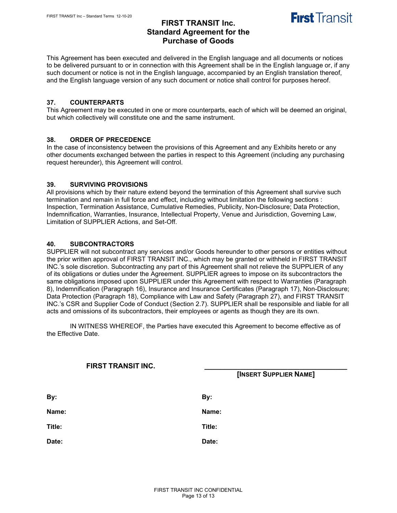

This Agreement has been executed and delivered in the English language and all documents or notices to be delivered pursuant to or in connection with this Agreement shall be in the English language or, if any such document or notice is not in the English language, accompanied by an English translation thereof, and the English language version of any such document or notice shall control for purposes hereof.

#### **37. COUNTERPARTS**

This Agreement may be executed in one or more counterparts, each of which will be deemed an original, but which collectively will constitute one and the same instrument.

### **38. ORDER OF PRECEDENCE**

In the case of inconsistency between the provisions of this Agreement and any Exhibits hereto or any other documents exchanged between the parties in respect to this Agreement (including any purchasing request hereunder), this Agreement will control.

### **39. SURVIVING PROVISIONS**

All provisions which by their nature extend beyond the termination of this Agreement shall survive such termination and remain in full force and effect, including without limitation the following sections : Inspection, Termination Assistance, Cumulative Remedies, Publicity, Non-Disclosure; Data Protection, Indemnification, Warranties, Insurance, Intellectual Property, Venue and Jurisdiction, Governing Law, Limitation of SUPPLIER Actions, and Set-Off.

## **40. SUBCONTRACTORS**

SUPPLIER will not subcontract any services and/or Goods hereunder to other persons or entities without the prior written approval of FIRST TRANSIT INC., which may be granted or withheld in FIRST TRANSIT INC.'s sole discretion. Subcontracting any part of this Agreement shall not relieve the SUPPLIER of any of its obligations or duties under the Agreement. SUPPLIER agrees to impose on its subcontractors the same obligations imposed upon SUPPLIER under this Agreement with respect to Warranties (Paragraph 8), Indemnification (Paragraph 16), Insurance and Insurance Certificates (Paragraph 17), Non-Disclosure; Data Protection (Paragraph 18), Compliance with Law and Safety (Paragraph 27), and FIRST TRANSIT INC.'s CSR and Supplier Code of Conduct (Section 2.7). SUPPLIER shall be responsible and liable for all acts and omissions of its subcontractors, their employees or agents as though they are its own.

IN WITNESS WHEREOF, the Parties have executed this Agreement to become effective as of the Effective Date.

| FIRST TRANSIT INC. | [INSERT SUPPLIER NAME] |  |
|--------------------|------------------------|--|
|                    |                        |  |
| By:                | By:                    |  |
| Name:              | Name:                  |  |
| Title:             | Title:                 |  |
| Date:              | Date:                  |  |
|                    |                        |  |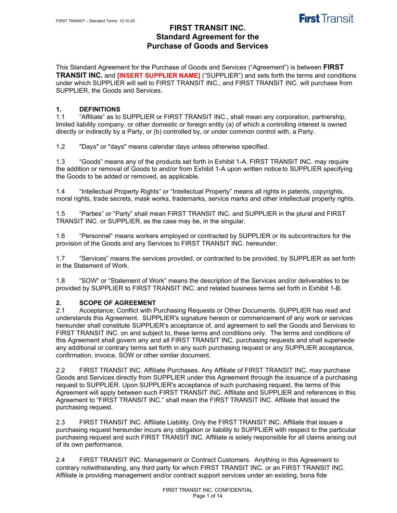

This Standard Agreement for the Purchase of Goods and Services ("Agreement") is between **FIRST TRANSIT INC.** and **[INSERT SUPPLIER NAME]** ("SUPPLIER") and sets forth the terms and conditions under which SUPPLIER will sell to FIRST TRANSIT INC., and FIRST TRANSIT INC. will purchase from SUPPLIER, the Goods and Services.

# **1. DEFINITIONS**

"Affiliate" as to SUPPLIER or FIRST TRANSIT INC., shall mean any corporation, partnership, limited liability company, or other domestic or foreign entity (a) of which a controlling interest is owned directly or indirectly by a Party, or (b) controlled by, or under common control with, a Party.

1.2 "Days" or "days" means calendar days unless otherwise specified.

1.3 "Goods" means any of the products set forth in Exhibit 1-A. FIRST TRANSIT INC. may require the addition or removal of Goods to and/or from Exhibit 1-A upon written notice to SUPPLIER specifying the Goods to be added or removed, as applicable.

1.4 "Intellectual Property Rights" or "Intellectual Property" means all rights in patents, copyrights, moral rights, trade secrets, mask works, trademarks, service marks and other intellectual property rights.

1.5 "Parties" or "Party" shall mean FIRST TRANSIT INC. and SUPPLIER in the plural and FIRST TRANSIT INC. or SUPPLIER, as the case may be, in the singular.

1.6 "Personnel" means workers employed or contracted by SUPPLIER or its subcontractors for the provision of the Goods and any Services to FIRST TRANSIT INC. hereunder.

1.7 "Services" means the services provided, or contracted to be provided, by SUPPLIER as set forth in the Statement of Work.

1.8 "SOW" or "Statement of Work" means the description of the Services and/or deliverables to be provided by SUPPLIER to FIRST TRANSIT INC. and related business terms set forth in Exhibit 1-B.

# **2. SCOPE OF AGREEMENT**<br>**2.1** Acceptance: Conflict with P

Acceptance; Conflict with Purchasing Requests or Other Documents. SUPPLIER has read and understands this Agreement. SUPPLIER's signature hereon or commencement of any work or services hereunder shall constitute SUPPLIER's acceptance of, and agreement to sell the Goods and Services to FIRST TRANSIT INC. on and subject to, these terms and conditions only. The terms and conditions of this Agreement shall govern any and all FIRST TRANSIT INC. purchasing requests and shall supersede any additional or contrary terms set forth in any such purchasing request or any SUPPLIER acceptance, confirmation, invoice, SOW or other similar document.

2.2 FIRST TRANSIT INC. Affiliate Purchases. Any Affiliate of FIRST TRANSIT INC. may purchase Goods and Services directly from SUPPLIER under this Agreement through the issuance of a purchasing request to SUPPLIER. Upon SUPPLIER's acceptance of such purchasing request, the terms of this Agreement will apply between such FIRST TRANSIT INC. Affiliate and SUPPLIER and references in this Agreement to "FIRST TRANSIT INC." shall mean the FIRST TRANSIT INC. Affiliate that issued the purchasing request.

2.3 FIRST TRANSIT INC. Affiliate Liability. Only the FIRST TRANSIT INC. Affiliate that issues a purchasing request hereunder incurs any obligation or liability to SUPPLIER with respect to the particular purchasing request and such FIRST TRANSIT INC. Affiliate is solely responsible for all claims arising out of its own performance.

2.4 FIRST TRANSIT INC. Management or Contract Customers. Anything in this Agreement to contrary notwithstanding, any third party for which FIRST TRANSIT INC. or an FIRST TRANSIT INC. Affiliate is providing management and/or contract support services under an existing, bona fide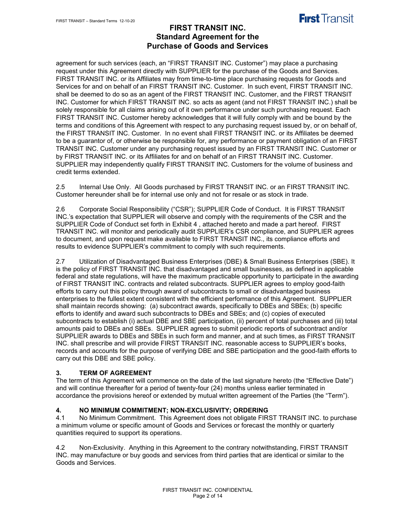

agreement for such services (each, an "FIRST TRANSIT INC. Customer") may place a purchasing request under this Agreement directly with SUPPLIER for the purchase of the Goods and Services. FIRST TRANSIT INC. or its Affiliates may from time-to-time place purchasing requests for Goods and Services for and on behalf of an FIRST TRANSIT INC. Customer. In such event, FIRST TRANSIT INC. shall be deemed to do so as an agent of the FIRST TRANSIT INC. Customer, and the FIRST TRANSIT INC. Customer for which FIRST TRANSIT INC. so acts as agent (and not FIRST TRANSIT INC.) shall be solely responsible for all claims arising out of it own performance under such purchasing request. Each FIRST TRANSIT INC. Customer hereby acknowledges that it will fully comply with and be bound by the terms and conditions of this Agreement with respect to any purchasing request issued by, or on behalf of, the FIRST TRANSIT INC. Customer. In no event shall FIRST TRANSIT INC. or its Affiliates be deemed to be a guarantor of, or otherwise be responsible for, any performance or payment obligation of an FIRST TRANSIT INC. Customer under any purchasing request issued by an FIRST TRANSIT INC. Customer or by FIRST TRANSIT INC. or its Affiliates for and on behalf of an FIRST TRANSIT INC. Customer. SUPPLIER may independently qualify FIRST TRANSIT INC. Customers for the volume of business and credit terms extended.

2.5 Internal Use Only. All Goods purchased by FIRST TRANSIT INC. or an FIRST TRANSIT INC. Customer hereunder shall be for internal use only and not for resale or as stock in trade.

2.6 Corporate Social Responsibility ("CSR"); SUPPLIER Code of Conduct. It is FIRST TRANSIT INC.'s expectation that SUPPLIER will observe and comply with the requirements of the CSR and the SUPPLIER Code of Conduct set forth in Exhibit 4 , attached hereto and made a part hereof. FIRST TRANSIT INC. will monitor and periodically audit SUPPLIER's CSR compliance, and SUPPLIER agrees to document, and upon request make available to FIRST TRANSIT INC., its compliance efforts and results to evidence SUPPLIER's commitment to comply with such requirements.

2.7 Utilization of Disadvantaged Business Enterprises (DBE) & Small Business Enterprises (SBE). It is the policy of FIRST TRANSIT INC. that disadvantaged and small businesses, as defined in applicable federal and state regulations, will have the maximum practicable opportunity to participate in the awarding of FIRST TRANSIT INC. contracts and related subcontracts. SUPPLIER agrees to employ good-faith efforts to carry out this policy through award of subcontracts to small or disadvantaged business enterprises to the fullest extent consistent with the efficient performance of this Agreement. SUPPLIER shall maintain records showing: (a) subcontract awards, specifically to DBEs and SBEs; (b) specific efforts to identify and award such subcontracts to DBEs and SBEs; and (c) copies of executed subcontracts to establish (i) actual DBE and SBE participation, (ii) percent of total purchases and (iii) total amounts paid to DBEs and SBEs. SUPPLIER agrees to submit periodic reports of subcontract and/or SUPPLIER awards to DBEs and SBEs in such form and manner, and at such times, as FIRST TRANSIT INC. shall prescribe and will provide FIRST TRANSIT INC. reasonable access to SUPPLIER's books, records and accounts for the purpose of verifying DBE and SBE participation and the good-faith efforts to carry out this DBE and SBE policy.

## **3. TERM OF AGREEMENT**

The term of this Agreement will commence on the date of the last signature hereto (the "Effective Date") and will continue thereafter for a period of twenty-four (24) months unless earlier terminated in accordance the provisions hereof or extended by mutual written agreement of the Parties (the "Term").

# **4. NO MINIMUM COMMITMENT; NON-EXCLUSIVITY; ORDERING**

No Minimum Commitment. This Agreement does not obligate FIRST TRANSIT INC. to purchase a minimum volume or specific amount of Goods and Services or forecast the monthly or quarterly quantities required to support its operations.

4.2 Non-Exclusivity. Anything in this Agreement to the contrary notwithstanding, FIRST TRANSIT INC. may manufacture or buy goods and services from third parties that are identical or similar to the Goods and Services.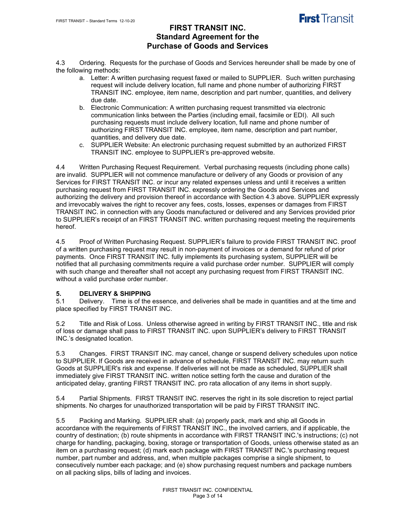

4.3 Ordering. Requests for the purchase of Goods and Services hereunder shall be made by one of the following methods:

- a. Letter: A written purchasing request faxed or mailed to SUPPLIER. Such written purchasing request will include delivery location, full name and phone number of authorizing FIRST TRANSIT INC. employee, item name, description and part number, quantities, and delivery due date.
- b. Electronic Communication: A written purchasing request transmitted via electronic communication links between the Parties (including email, facsimile or EDI). All such purchasing requests must include delivery location, full name and phone number of authorizing FIRST TRANSIT INC. employee, item name, description and part number, quantities, and delivery due date.
- c. SUPPLIER Website: An electronic purchasing request submitted by an authorized FIRST TRANSIT INC. employee to SUPPLIER's pre-approved website.

4.4 Written Purchasing Request Requirement. Verbal purchasing requests (including phone calls) are invalid. SUPPLIER will not commence manufacture or delivery of any Goods or provision of any Services for FIRST TRANSIT INC. or incur any related expenses unless and until it receives a written purchasing request from FIRST TRANSIT INC. expressly ordering the Goods and Services and authorizing the delivery and provision thereof in accordance with Section 4.3 above. SUPPLIER expressly and irrevocably waives the right to recover any fees, costs, losses, expenses or damages from FIRST TRANSIT INC. in connection with any Goods manufactured or delivered and any Services provided prior to SUPPLIER's receipt of an FIRST TRANSIT INC. written purchasing request meeting the requirements hereof.

4.5 Proof of Written Purchasing Request. SUPPLIER's failure to provide FIRST TRANSIT INC. proof of a written purchasing request may result in non-payment of invoices or a demand for refund of prior payments. Once FIRST TRANSIT INC. fully implements its purchasing system, SUPPLIER will be notified that all purchasing commitments require a valid purchase order number. SUPPLIER will comply with such change and thereafter shall not accept any purchasing request from FIRST TRANSIT INC. without a valid purchase order number.

## **5. DELIVERY & SHIPPING**

5.1 Delivery. Time is of the essence, and deliveries shall be made in quantities and at the time and place specified by FIRST TRANSIT INC.

5.2 Title and Risk of Loss. Unless otherwise agreed in writing by FIRST TRANSIT INC., title and risk of loss or damage shall pass to FIRST TRANSIT INC. upon SUPPLIER's delivery to FIRST TRANSIT INC.'s designated location.

5.3 Changes. FIRST TRANSIT INC. may cancel, change or suspend delivery schedules upon notice to SUPPLIER. If Goods are received in advance of schedule, FIRST TRANSIT INC. may return such Goods at SUPPLIER's risk and expense. If deliveries will not be made as scheduled, SUPPLIER shall immediately give FIRST TRANSIT INC. written notice setting forth the cause and duration of the anticipated delay, granting FIRST TRANSIT INC. pro rata allocation of any items in short supply.

5.4 Partial Shipments. FIRST TRANSIT INC. reserves the right in its sole discretion to reject partial shipments. No charges for unauthorized transportation will be paid by FIRST TRANSIT INC.

5.5 Packing and Marking. SUPPLIER shall: (a) properly pack, mark and ship all Goods in accordance with the requirements of FIRST TRANSIT INC., the involved carriers, and if applicable, the country of destination; (b) route shipments in accordance with FIRST TRANSIT INC.'s instructions; (c) not charge for handling, packaging, boxing, storage or transportation of Goods, unless otherwise stated as an item on a purchasing request; (d) mark each package with FIRST TRANSIT INC.'s purchasing request number, part number and address, and, when multiple packages comprise a single shipment, to consecutively number each package; and (e) show purchasing request numbers and package numbers on all packing slips, bills of lading and invoices.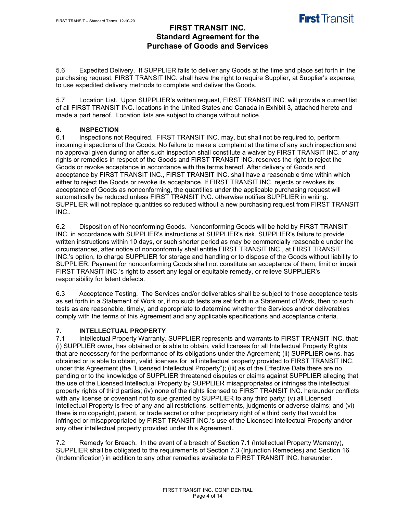

5.6 Expedited Delivery. If SUPPLIER fails to deliver any Goods at the time and place set forth in the purchasing request, FIRST TRANSIT INC. shall have the right to require Supplier, at Supplier's expense, to use expedited delivery methods to complete and deliver the Goods.

5.7 Location List. Upon SUPPLIER's written request, FIRST TRANSIT INC. will provide a current list of all FIRST TRANSIT INC. locations in the United States and Canada in Exhibit 3, attached hereto and made a part hereof. Location lists are subject to change without notice.

## **6. INSPECTION**

6.1 Inspections not Required. FIRST TRANSIT INC. may, but shall not be required to, perform incoming inspections of the Goods. No failure to make a complaint at the time of any such inspection and no approval given during or after such inspection shall constitute a waiver by FIRST TRANSIT INC. of any rights or remedies in respect of the Goods and FIRST TRANSIT INC. reserves the right to reject the Goods or revoke acceptance in accordance with the terms hereof. After delivery of Goods and acceptance by FIRST TRANSIT INC., FIRST TRANSIT INC. shall have a reasonable time within which either to reject the Goods or revoke its acceptance. If FIRST TRANSIT INC. rejects or revokes its acceptance of Goods as nonconforming, the quantities under the applicable purchasing request will automatically be reduced unless FIRST TRANSIT INC. otherwise notifies SUPPLIER in writing. SUPPLIER will not replace quantities so reduced without a new purchasing request from FIRST TRANSIT INC..

6.2 Disposition of Nonconforming Goods. Nonconforming Goods will be held by FIRST TRANSIT INC. in accordance with SUPPLIER's instructions at SUPPLIER's risk. SUPPLIER's failure to provide written instructions within 10 days, or such shorter period as may be commercially reasonable under the circumstances, after notice of nonconformity shall entitle FIRST TRANSIT INC., at FIRST TRANSIT INC.'s option, to charge SUPPLIER for storage and handling or to dispose of the Goods without liability to SUPPLIER. Payment for nonconforming Goods shall not constitute an acceptance of them, limit or impair FIRST TRANSIT INC.'s right to assert any legal or equitable remedy, or relieve SUPPLIER's responsibility for latent defects.

6.3 Acceptance Testing. The Services and/or deliverables shall be subject to those acceptance tests as set forth in a Statement of Work or, if no such tests are set forth in a Statement of Work, then to such tests as are reasonable, timely, and appropriate to determine whether the Services and/or deliverables comply with the terms of this Agreement and any applicable specifications and acceptance criteria.

## **7. INTELLECTUAL PROPERTY**

7.1 Intellectual Property Warranty. SUPPLIER represents and warrants to FIRST TRANSIT INC. that: (i) SUPPLIER owns, has obtained or is able to obtain, valid licenses for all Intellectual Property Rights that are necessary for the performance of its obligations under the Agreement; (ii) SUPPLIER owns, has obtained or is able to obtain, valid licenses for all intellectual property provided to FIRST TRANSIT INC. under this Agreement (the "Licensed Intellectual Property"); (iii) as of the Effective Date there are no pending or to the knowledge of SUPPLIER threatened disputes or claims against SUPPLIER alleging that the use of the Licensed Intellectual Property by SUPPLIER misappropriates or infringes the intellectual property rights of third parties; (iv) none of the rights licensed to FIRST TRANSIT INC. hereunder conflicts with any license or covenant not to sue granted by SUPPLIER to any third party; (v) all Licensed Intellectual Property is free of any and all restrictions, settlements, judgments or adverse claims; and (vi) there is no copyright, patent, or trade secret or other proprietary right of a third party that would be infringed or misappropriated by FIRST TRANSIT INC.'s use of the Licensed Intellectual Property and/or any other intellectual property provided under this Agreement.

7.2 Remedy for Breach. In the event of a breach of Section 7.1 (Intellectual Property Warranty), SUPPLIER shall be obligated to the requirements of Section 7.3 (Injunction Remedies) and Section 16 (Indemnification) in addition to any other remedies available to FIRST TRANSIT INC. hereunder.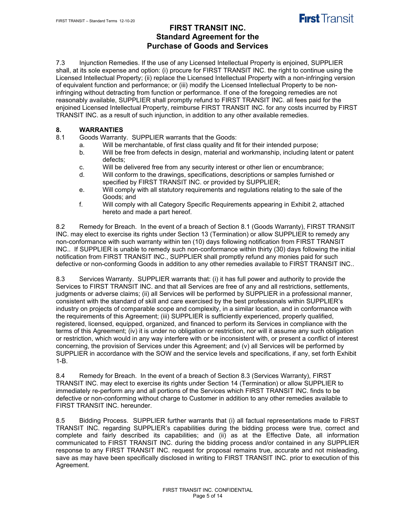

7.3 Injunction Remedies. If the use of any Licensed Intellectual Property is enjoined, SUPPLIER shall, at its sole expense and option: (i) procure for FIRST TRANSIT INC. the right to continue using the Licensed Intellectual Property; (ii) replace the Licensed Intellectual Property with a non-infringing version of equivalent function and performance; or (iii) modify the Licensed Intellectual Property to be noninfringing without detracting from function or performance. If one of the foregoing remedies are not reasonably available, SUPPLIER shall promptly refund to FIRST TRANSIT INC. all fees paid for the enjoined Licensed Intellectual Property, reimburse FIRST TRANSIT INC. for any costs incurred by FIRST TRANSIT INC. as a result of such injunction, in addition to any other available remedies.

## **8. WARRANTIES**

8.1 Goods Warranty. SUPPLIER warrants that the Goods:

- a. Will be merchantable, of first class quality and fit for their intended purpose;
	- b. Will be free from defects in design, material and workmanship, including latent or patent defects;
	- c. Will be delivered free from any security interest or other lien or encumbrance;
	- d. Will conform to the drawings, specifications, descriptions or samples furnished or specified by FIRST TRANSIT INC. or provided by SUPPLIER;
	- e. Will comply with all statutory requirements and regulations relating to the sale of the Goods; and
	- f. Will comply with all Category Specific Requirements appearing in Exhibit 2, attached hereto and made a part hereof.

8.2 Remedy for Breach. In the event of a breach of Section 8.1 (Goods Warranty), FIRST TRANSIT INC. may elect to exercise its rights under Section 13 (Termination) or allow SUPPLIER to remedy any non-conformance with such warranty within ten (10) days following notification from FIRST TRANSIT INC.. If SUPPLIER is unable to remedy such non-conformance within thirty (30) days following the initial notification from FIRST TRANSIT INC., SUPPLIER shall promptly refund any monies paid for such defective or non-conforming Goods in addition to any other remedies available to FIRST TRANSIT INC..

8.3 Services Warranty. SUPPLIER warrants that: (i) it has full power and authority to provide the Services to FIRST TRANSIT INC. and that all Services are free of any and all restrictions, settlements, judgments or adverse claims; (ii) all Services will be performed by SUPPLIER in a professional manner, consistent with the standard of skill and care exercised by the best professionals within SUPPLIER's industry on projects of comparable scope and complexity, in a similar location, and in conformance with the requirements of this Agreement; (iii) SUPPLIER is sufficiently experienced, properly qualified, registered, licensed, equipped, organized, and financed to perform its Services in compliance with the terms of this Agreement; (iv) it is under no obligation or restriction, nor will it assume any such obligation or restriction, which would in any way interfere with or be inconsistent with, or present a conflict of interest concerning, the provision of Services under this Agreement; and (v) all Services will be performed by SUPPLIER in accordance with the SOW and the service levels and specifications, if any, set forth Exhibit 1-B.

8.4 Remedy for Breach. In the event of a breach of Section 8.3 (Services Warranty), FIRST TRANSIT INC. may elect to exercise its rights under Section 14 (Termination) or allow SUPPLIER to immediately re-perform any and all portions of the Services which FIRST TRANSIT INC. finds to be defective or non-conforming without charge to Customer in addition to any other remedies available to FIRST TRANSIT INC. hereunder.

8.5 Bidding Process. SUPPLIER further warrants that (i) all factual representations made to FIRST TRANSIT INC. regarding SUPPLIER's capabilities during the bidding process were true, correct and complete and fairly described its capabilities; and (ii) as at the Effective Date, all information communicated to FIRST TRANSIT INC. during the bidding process and/or contained in any SUPPLIER response to any FIRST TRANSIT INC. request for proposal remains true, accurate and not misleading, save as may have been specifically disclosed in writing to FIRST TRANSIT INC. prior to execution of this Agreement.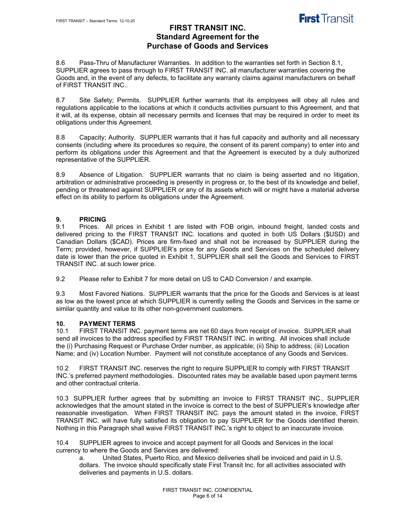

8.6 Pass-Thru of Manufacturer Warranties. In addition to the warranties set forth in Section 8.1, SUPPLIER agrees to pass through to FIRST TRANSIT INC. all manufacturer warranties covering the Goods and, in the event of any defects, to facilitate any warranty claims against manufacturers on behalf of FIRST TRANSIT INC..

8.7 Site Safety; Permits. SUPPLIER further warrants that its employees will obey all rules and regulations applicable to the locations at which it conducts activities pursuant to this Agreement, and that it will, at its expense, obtain all necessary permits and licenses that may be required in order to meet its obligations under this Agreement.

8.8 Capacity; Authority. SUPPLIER warrants that it has full capacity and authority and all necessary consents (including where its procedures so require, the consent of its parent company) to enter into and perform its obligations under this Agreement and that the Agreement is executed by a duly authorized representative of the SUPPLIER.

8.9 Absence of Litigation. SUPPLIER warrants that no claim is being asserted and no litigation, arbitration or administrative proceeding is presently in progress or, to the best of its knowledge and belief, pending or threatened against SUPPLIER or any of its assets which will or might have a material adverse effect on its ability to perform its obligations under the Agreement.

### **9. PRICING**

9.1 Prices. All prices in Exhibit 1 are listed with FOB origin, inbound freight, landed costs and delivered pricing to the FIRST TRANSIT INC. locations and quoted in both US Dollars (\$USD) and Canadian Dollars (\$CAD). Prices are firm-fixed and shall not be increased by SUPPLIER during the Term; provided, however, if SUPPLIER's price for any Goods and Services on the scheduled delivery date is lower than the price quoted in Exhibit 1, SUPPLIER shall sell the Goods and Services to FIRST TRANSIT INC. at such lower price.

9.2 Please refer to Exhibit 7 for more detail on US to CAD Conversion / and example.

9.3 Most Favored Nations. SUPPLIER warrants that the price for the Goods and Services is at least as low as the lowest price at which SUPPLIER is currently selling the Goods and Services in the same or similar quantity and value to its other non-government customers.

## **10. PAYMENT TERMS**

FIRST TRANSIT INC. payment terms are net 60 days from receipt of invoice. SUPPLIER shall send all invoices to the address specified by FIRST TRANSIT INC. in writing. All invoices shall include the (i) Purchasing Request or Purchase Order number, as applicable; (ii) Ship to address; (iii) Location Name; and (iv) Location Number. Payment will not constitute acceptance of any Goods and Services.

10.2 FIRST TRANSIT INC. reserves the right to require SUPPLIER to comply with FIRST TRANSIT INC.'s preferred payment methodologies. Discounted rates may be available based upon payment terms and other contractual criteria.

10.3 SUPPLIER further agrees that by submitting an invoice to FIRST TRANSIT INC., SUPPLIER acknowledges that the amount stated in the invoice is correct to the best of SUPPLIER's knowledge after reasonable investigation. When FIRST TRANSIT INC. pays the amount stated in the invoice, FIRST TRANSIT INC. will have fully satisfied its obligation to pay SUPPLIER for the Goods identified therein. Nothing in this Paragraph shall waive FIRST TRANSIT INC.'s right to object to an inaccurate invoice.

10.4 SUPPLIER agrees to invoice and accept payment for all Goods and Services in the local currency to where the Goods and Services are delivered:

a. United States, Puerto Rico, and Mexico deliveries shall be invoiced and paid in U.S. dollars. The invoice should specifically state First Transit Inc. for all activities associated with deliveries and payments in U.S. dollars.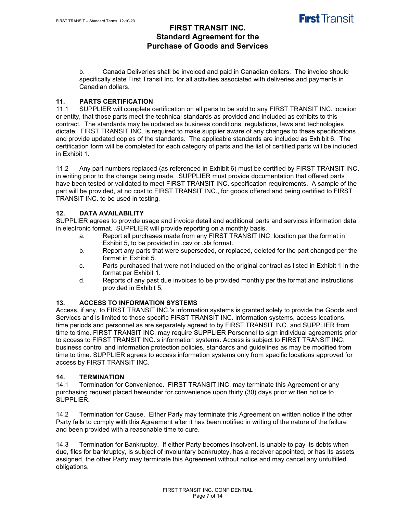

b. Canada Deliveries shall be invoiced and paid in Canadian dollars. The invoice should specifically state First Transit Inc. for all activities associated with deliveries and payments in Canadian dollars.

### **11. PARTS CERTIFICATION**

11.1 SUPPLIER will complete certification on all parts to be sold to any FIRST TRANSIT INC. location or entity, that those parts meet the technical standards as provided and included as exhibits to this contract. The standards may be updated as business conditions, regulations, laws and technologies dictate. FIRST TRANSIT INC. is required to make supplier aware of any changes to these specifications and provide updated copies of the standards. The applicable standards are included as Exhibit 6. The certification form will be completed for each category of parts and the list of certified parts will be included in Exhibit 1.

11.2 Any part numbers replaced (as referenced in Exhibit 6) must be certified by FIRST TRANSIT INC. in writing prior to the change being made. SUPPLIER must provide documentation that offered parts have been tested or validated to meet FIRST TRANSIT INC. specification requirements. A sample of the part will be provided, at no cost to FIRST TRANSIT INC., for goods offered and being certified to FIRST TRANSIT INC. to be used in testing.

### **12. DATA AVAILABILITY**

SUPPLIER agrees to provide usage and invoice detail and additional parts and services information data in electronic format. SUPPLIER will provide reporting on a monthly basis.

- a. Report all purchases made from any FIRST TRANSIT INC. location per the format in Exhibit 5, to be provided in .csv or .xls format.
- b. Report any parts that were superseded, or replaced, deleted for the part changed per the format in Exhibit 5.
- c. Parts purchased that were not included on the original contract as listed in Exhibit 1 in the format per Exhibit 1.
- d. Reports of any past due invoices to be provided monthly per the format and instructions provided in Exhibit 5.

#### **13. ACCESS TO INFORMATION SYSTEMS**

Access, if any, to FIRST TRANSIT INC.'s information systems is granted solely to provide the Goods and Services and is limited to those specific FIRST TRANSIT INC. information systems, access locations, time periods and personnel as are separately agreed to by FIRST TRANSIT INC. and SUPPLIER from time to time. FIRST TRANSIT INC. may require SUPPLIER Personnel to sign individual agreements prior to access to FIRST TRANSIT INC.'s information systems. Access is subject to FIRST TRANSIT INC. business control and information protection policies, standards and guidelines as may be modified from time to time. SUPPLIER agrees to access information systems only from specific locations approved for access by FIRST TRANSIT INC.

#### **14. TERMINATION**

14.1 Termination for Convenience. FIRST TRANSIT INC. may terminate this Agreement or any purchasing request placed hereunder for convenience upon thirty (30) days prior written notice to SUPPLIER.

14.2 Termination for Cause.Either Party may terminate this Agreement on written notice if the other Party fails to comply with this Agreement after it has been notified in writing of the nature of the failure and been provided with a reasonable time to cure.

14.3 Termination for Bankruptcy.If either Party becomes insolvent, is unable to pay its debts when due, files for bankruptcy, is subject of involuntary bankruptcy, has a receiver appointed, or has its assets assigned, the other Party may terminate this Agreement without notice and may cancel any unfulfilled obligations.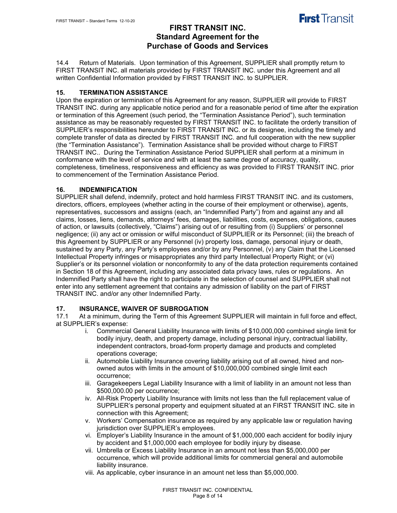

14.4 Return of Materials.Upon termination of this Agreement, SUPPLIER shall promptly return to FIRST TRANSIT INC. all materials provided by FIRST TRANSIT INC. under this Agreement and all written Confidential Information provided by FIRST TRANSIT INC. to SUPPLIER.

#### **15. TERMINATION ASSISTANCE**

Upon the expiration or termination of this Agreement for any reason, SUPPLIER will provide to FIRST TRANSIT INC. during any applicable notice period and for a reasonable period of time after the expiration or termination of this Agreement (such period, the "Termination Assistance Period"), such termination assistance as may be reasonably requested by FIRST TRANSIT INC. to facilitate the orderly transition of SUPPLIER's responsibilities hereunder to FIRST TRANSIT INC. or its designee, including the timely and complete transfer of data as directed by FIRST TRANSIT INC. and full cooperation with the new supplier (the "Termination Assistance"). Termination Assistance shall be provided without charge to FIRST TRANSIT INC.. During the Termination Assistance Period SUPPLIER shall perform at a minimum in conformance with the level of service and with at least the same degree of accuracy, quality, completeness, timeliness, responsiveness and efficiency as was provided to FIRST TRANSIT INC. prior to commencement of the Termination Assistance Period.

#### **16. INDEMNIFICATION**

SUPPLIER shall defend, indemnify, protect and hold harmless FIRST TRANSIT INC. and its customers, directors, officers, employees (whether acting in the course of their employment or otherwise), agents, representatives, successors and assigns (each, an "Indemnified Party") from and against any and all claims, losses, liens, demands, attorneys' fees, damages, liabilities, costs, expenses, obligations, causes of action, or lawsuits (collectively, "Claims") arising out of or resulting from (i) Suppliers' or personnel negligence; (ii) any act or omission or wilful misconduct of SUPPLIER or its Personnel; (iii) the breach of this Agreement by SUPPLIER or any Personnel (iv) property loss, damage, personal injury or death, sustained by any Party, any Party's employees and/or by any Personnel, (v) any Claim that the Licensed Intellectual Property infringes or misappropriates any third party Intellectual Property Right; or (vi) Supplier's or its personnel violation or nonconformity to any of the data protection requirements contained in Section 18 of this Agreement, including any associated data privacy laws, rules or regulations. An Indemnified Party shall have the right to participate in the selection of counsel and SUPPLIER shall not enter into any settlement agreement that contains any admission of liability on the part of FIRST TRANSIT INC. and/or any other Indemnified Party.

#### **17. INSURANCE, WAIVER OF SUBROGATION**

17.1 At a minimum, during the Term of this Agreement SUPPLIER will maintain in full force and effect, at SUPPLIER's expense:

- i. Commercial General Liability Insurance with limits of \$10,000,000 combined single limit for bodily injury, death, and property damage, including personal injury, contractual liability, independent contractors, broad-form property damage and products and completed operations coverage;
- ii. Automobile Liability Insurance covering liability arising out of all owned, hired and nonowned autos with limits in the amount of \$10,000,000 combined single limit each occurrence;
- iii. Garagekeepers Legal Liability Insurance with a limit of liability in an amount not less than \$500,000.00 per occurrence;
- iv. All-Risk Property Liability Insurance with limits not less than the full replacement value of SUPPLIER's personal property and equipment situated at an FIRST TRANSIT INC. site in connection with this Agreement;
- v. Workers' Compensation insurance as required by any applicable law or regulation having jurisdiction over SUPPLIER's employees.
- vi. Employer's Liability Insurance in the amount of \$1,000,000 each accident for bodily injury by accident and \$1,000,000 each employee for bodily injury by disease.
- vii. Umbrella or Excess Liability Insurance in an amount not less than \$5,000,000 per occurrence, which will provide additional limits for commercial general and automobile liability insurance.
- viii. As applicable, cyber insurance in an amount net less than \$5,000,000.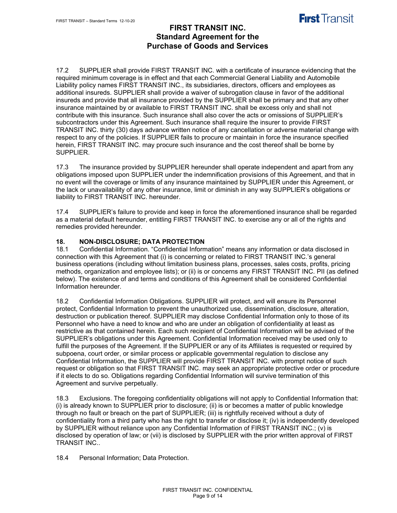

17.2 SUPPLIER shall provide FIRST TRANSIT INC. with a certificate of insurance evidencing that the required minimum coverage is in effect and that each Commercial General Liability and Automobile Liability policy names FIRST TRANSIT INC., its subsidiaries, directors, officers and employees as additional insureds. SUPPLIER shall provide a waiver of subrogation clause in favor of the additional insureds and provide that all insurance provided by the SUPPLIER shall be primary and that any other insurance maintained by or available to FIRST TRANSIT INC. shall be excess only and shall not contribute with this insurance. Such insurance shall also cover the acts or omissions of SUPPLIER's subcontractors under this Agreement. Such insurance shall require the insurer to provide FIRST TRANSIT INC. thirty (30) days advance written notice of any cancellation or adverse material change with respect to any of the policies. If SUPPLIER fails to procure or maintain in force the insurance specified herein, FIRST TRANSIT INC. may procure such insurance and the cost thereof shall be borne by SUPPLIER.

17.3 The insurance provided by SUPPLIER hereunder shall operate independent and apart from any obligations imposed upon SUPPLIER under the indemnification provisions of this Agreement, and that in no event will the coverage or limits of any insurance maintained by SUPPLIER under this Agreement, or the lack or unavailability of any other insurance, limit or diminish in any way SUPPLIER's obligations or liability to FIRST TRANSIT INC. hereunder.

17.4 SUPPLIER's failure to provide and keep in force the aforementioned insurance shall be regarded as a material default hereunder, entitling FIRST TRANSIT INC. to exercise any or all of the rights and remedies provided hereunder.

## **18. NON-DISCLOSURE; DATA PROTECTION**

18.1 Confidential Information. "Confidential Information" means any information or data disclosed in connection with this Agreement that (i) is concerning or related to FIRST TRANSIT INC.'s general business operations (including without limitation business plans, processes, sales costs, profits, pricing methods, organization and employee lists); or (ii) is or concerns any FIRST TRANSIT INC. PII (as defined below). The existence of and terms and conditions of this Agreement shall be considered Confidential Information hereunder.

18.2 Confidential Information Obligations. SUPPLIER will protect, and will ensure its Personnel protect, Confidential Information to prevent the unauthorized use, dissemination, disclosure, alteration, destruction or publication thereof. SUPPLIER may disclose Confidential Information only to those of its Personnel who have a need to know and who are under an obligation of confidentiality at least as restrictive as that contained herein. Each such recipient of Confidential Information will be advised of the SUPPLIER's obligations under this Agreement. Confidential Information received may be used only to fulfill the purposes of the Agreement. If the SUPPLIER or any of its Affiliates is requested or required by subpoena, court order, or similar process or applicable governmental regulation to disclose any Confidential Information, the SUPPLIER will provide FIRST TRANSIT INC. with prompt notice of such request or obligation so that FIRST TRANSIT INC. may seek an appropriate protective order or procedure if it elects to do so. Obligations regarding Confidential Information will survive termination of this Agreement and survive perpetually.

18.3 Exclusions. The foregoing confidentiality obligations will not apply to Confidential Information that: (i) is already known to SUPPLIER prior to disclosure; (ii) is or becomes a matter of public knowledge through no fault or breach on the part of SUPPLIER; (iii) is rightfully received without a duty of confidentiality from a third party who has the right to transfer or disclose it; (iv) is independently developed by SUPPLIER without reliance upon any Confidential Information of FIRST TRANSIT INC.; (v) is disclosed by operation of law; or (vii) is disclosed by SUPPLIER with the prior written approval of FIRST TRANSIT INC..

18.4 Personal Information; Data Protection.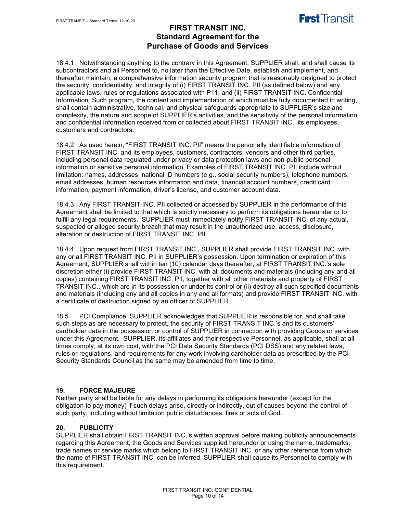

18.4.1 Notwithstanding anything to the contrary in this Agreement, SUPPLIER shall, and shall cause its subcontractors and all Personnel to, no later than the Effective Date, establish and implement, and thereafter maintain, a comprehensive information security program that is reasonably designed to protect the security, confidentiality, and integrity of (i) FIRST TRANSIT INC. PII (as defined below) and any applicable laws, rules or regulations associated with P11; and (ii) FIRST TRANSIT INC. Confidential Information. Such program, the content and implementation of which must be fully documented in writing, shall contain administrative, technical, and physical safeguards appropriate to SUPPLIER's size and complexity, the nature and scope of SUPPLIER's activities, and the sensitivity of the personal information and confidential information received from or collected about FIRST TRANSIT INC., its employees, customers and contractors.

18.4.2 As used herein, "FIRST TRANSIT INC. PII" means the personally identifiable information of FIRST TRANSIT INC. and its employees, customers, contractors, vendors and other third parties, including personal data regulated under privacy or data protection laws and non-public personal information or sensitive personal information. Examples of FIRST TRANSIT INC. PII include without limitation: names, addresses, national ID numbers (e.g., social security numbers), telephone numbers, email addresses, human resources information and data, financial account numbers, credit card information, payment information, driver's license, and customer account data.

18.4.3 Any FIRST TRANSIT INC. PII collected or accessed by SUPPLIER in the performance of this Agreement shall be limited to that which is strictly necessary to perform its obligations hereunder or to fulfill any legal requirements. SUPPLIER must immediately notify FIRST TRANSIT INC. of any actual, suspected or alleged security breach that may result in the unauthorized use, access, disclosure, alteration or destruction of FIRST TRANSIT INC. PII.

18.4.4 Upon request from FIRST TRANSIT INC., SUPPLIER shall provide FIRST TRANSIT INC. with any or all FIRST TRANSIT INC. PII in SUPPLIER's possession. Upon termination or expiration of this Agreement, SUPPLIER shall within ten (10) calendar days thereafter, at FIRST TRANSIT INC.'s sole discretion either (i) provide FIRST TRANSIT INC. with all documents and materials (including any and all copies) containing FIRST TRANSIT INC. PII, together with all other materials and property of FIRST TRANSIT INC., which are in its possession or under its control or (ii) destroy all such specified documents and materials (including any and all copies in any and all formats) and provide FIRST TRANSIT INC. with a certificate of destruction signed by an officer of SUPPLIER.

18.5 PCI Compliance. SUPPLIER acknowledges that SUPPLIER is responsible for, and shall take such steps as are necessary to protect, the security of FIRST TRANSIT INC.'s and its customers' cardholder data in the possession or control of SUPPLIER in connection with providing Goods or services under this Agreement. SUPPLIER, its affiliates and their respective Personnel, as applicable, shall at all times comply, at its own cost, with the PCI Data Security Standards (PCI DSS) and any related laws, rules or regulations, and requirements for any work involving cardholder data as prescribed by the PCI Security Standards Council as the same may be amended from time to time.

#### **19. FORCE MAJEURE**

Neither party shall be liable for any delays in performing its obligations hereunder (except for the obligation to pay money) if such delays arise, directly or indirectly, out of causes beyond the control of such party, including without limitation public disturbances, fires or acts of God.

#### **20. PUBLICITY**

SUPPLIER shall obtain FIRST TRANSIT INC.'s written approval before making publicity announcements regarding this Agreement, the Goods and Services supplied hereunder or using the name, trademarks, trade names or service marks which belong to FIRST TRANSIT INC. or any other reference from which the name of FIRST TRANSIT INC. can be inferred. SUPPLIER shall cause its Personnel to comply with this requirement.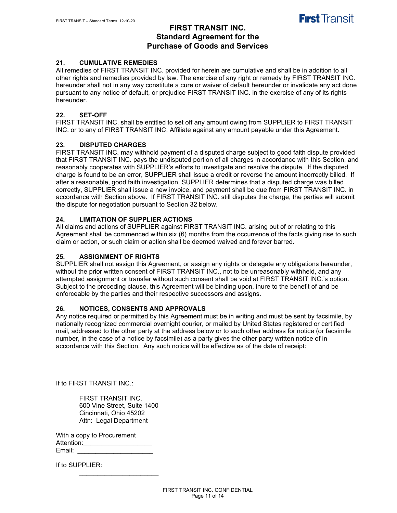

#### **21. CUMULATIVE REMEDIES**

All remedies of FIRST TRANSIT INC. provided for herein are cumulative and shall be in addition to all other rights and remedies provided by law. The exercise of any right or remedy by FIRST TRANSIT INC. hereunder shall not in any way constitute a cure or waiver of default hereunder or invalidate any act done pursuant to any notice of default, or prejudice FIRST TRANSIT INC. in the exercise of any of its rights hereunder.

#### **22. SET-OFF**

FIRST TRANSIT INC. shall be entitled to set off any amount owing from SUPPLIER to FIRST TRANSIT INC. or to any of FIRST TRANSIT INC. Affiliate against any amount payable under this Agreement.

#### **23. DISPUTED CHARGES**

FIRST TRANSIT INC. may withhold payment of a disputed charge subject to good faith dispute provided that FIRST TRANSIT INC. pays the undisputed portion of all charges in accordance with this Section, and reasonably cooperates with SUPPLIER's efforts to investigate and resolve the dispute. If the disputed charge is found to be an error, SUPPLIER shall issue a credit or reverse the amount incorrectly billed. If after a reasonable, good faith investigation, SUPPLIER determines that a disputed charge was billed correctly, SUPPLIER shall issue a new invoice, and payment shall be due from FIRST TRANSIT INC. in accordance with Section above. If FIRST TRANSIT INC. still disputes the charge, the parties will submit the dispute for negotiation pursuant to Section 32 below.

#### **24. LIMITATION OF SUPPLIER ACTIONS**

All claims and actions of SUPPLIER against FIRST TRANSIT INC. arising out of or relating to this Agreement shall be commenced within six (6) months from the occurrence of the facts giving rise to such claim or action, or such claim or action shall be deemed waived and forever barred.

#### **25. ASSIGNMENT OF RIGHTS**

SUPPLIER shall not assign this Agreement, or assign any rights or delegate any obligations hereunder, without the prior written consent of FIRST TRANSIT INC., not to be unreasonably withheld, and any attempted assignment or transfer without such consent shall be void at FIRST TRANSIT INC.'s option. Subject to the preceding clause, this Agreement will be binding upon, inure to the benefit of and be enforceable by the parties and their respective successors and assigns.

#### **26. NOTICES, CONSENTS AND APPROVALS**

Any notice required or permitted by this Agreement must be in writing and must be sent by facsimile, by nationally recognized commercial overnight courier, or mailed by United States registered or certified mail, addressed to the other party at the address below or to such other address for notice (or facsimile number, in the case of a notice by facsimile) as a party gives the other party written notice of in accordance with this Section. Any such notice will be effective as of the date of receipt:

If to FIRST TRANSIT INC.:

FIRST TRANSIT INC. 600 Vine Street, Suite 1400 Cincinnati, Ohio 45202 Attn: Legal Department

\_\_\_\_\_\_\_\_\_\_\_\_\_\_\_\_\_\_\_\_\_\_

With a copy to Procurement Attention: Email: \_\_\_\_\_\_\_\_\_\_\_\_\_\_\_\_\_\_\_\_\_

If to SUPPLIER: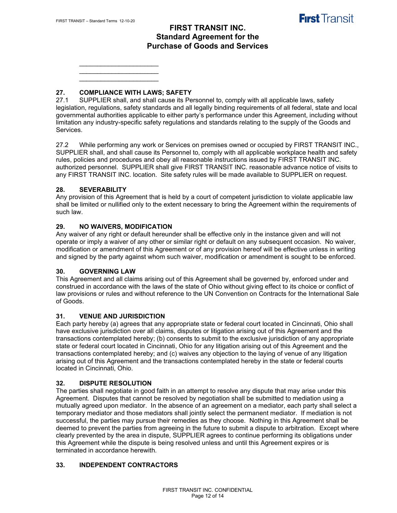\_\_\_\_\_\_\_\_\_\_\_\_\_\_\_\_\_\_\_\_\_\_ \_\_\_\_\_\_\_\_\_\_\_\_\_\_\_\_\_\_\_\_\_\_  $\mathcal{L}_\text{max}$  , where  $\mathcal{L}_\text{max}$  , we have the set of  $\mathcal{L}_\text{max}$ 

## **27. COMPLIANCE WITH LAWS; SAFETY**

SUPPLIER shall, and shall cause its Personnel to, comply with all applicable laws, safety legislation, regulations, safety standards and all legally binding requirements of all federal, state and local governmental authorities applicable to either party's performance under this Agreement, including without limitation any industry-specific safety regulations and standards relating to the supply of the Goods and Services.

27.2 While performing any work or Services on premises owned or occupied by FIRST TRANSIT INC., SUPPLIER shall, and shall cause its Personnel to, comply with all applicable workplace health and safety rules, policies and procedures and obey all reasonable instructions issued by FIRST TRANSIT INC. authorized personnel. SUPPLIER shall give FIRST TRANSIT INC. reasonable advance notice of visits to any FIRST TRANSIT INC. location. Site safety rules will be made available to SUPPLIER on request.

#### **28. SEVERABILITY**

Any provision of this Agreement that is held by a court of competent jurisdiction to violate applicable law shall be limited or nullified only to the extent necessary to bring the Agreement within the requirements of such law.

#### **29. NO WAIVERS, MODIFICATION**

Any waiver of any right or default hereunder shall be effective only in the instance given and will not operate or imply a waiver of any other or similar right or default on any subsequent occasion. No waiver, modification or amendment of this Agreement or of any provision hereof will be effective unless in writing and signed by the party against whom such waiver, modification or amendment is sought to be enforced.

#### **30. GOVERNING LAW**

This Agreement and all claims arising out of this Agreement shall be governed by, enforced under and construed in accordance with the laws of the state of Ohio without giving effect to its choice or conflict of law provisions or rules and without reference to the UN Convention on Contracts for the International Sale of Goods.

#### **31. VENUE AND JURISDICTION**

Each party hereby (a) agrees that any appropriate state or federal court located in Cincinnati, Ohio shall have exclusive jurisdiction over all claims, disputes or litigation arising out of this Agreement and the transactions contemplated hereby; (b) consents to submit to the exclusive jurisdiction of any appropriate state or federal court located in Cincinnati, Ohio for any litigation arising out of this Agreement and the transactions contemplated hereby; and (c) waives any objection to the laying of venue of any litigation arising out of this Agreement and the transactions contemplated hereby in the state or federal courts located in Cincinnati, Ohio.

#### **32. DISPUTE RESOLUTION**

The parties shall negotiate in good faith in an attempt to resolve any dispute that may arise under this Agreement. Disputes that cannot be resolved by negotiation shall be submitted to mediation using a mutually agreed upon mediator. In the absence of an agreement on a mediator, each party shall select a temporary mediator and those mediators shall jointly select the permanent mediator. If mediation is not successful, the parties may pursue their remedies as they choose. Nothing in this Agreement shall be deemed to prevent the parties from agreeing in the future to submit a dispute to arbitration. Except where clearly prevented by the area in dispute, SUPPLIER agrees to continue performing its obligations under this Agreement while the dispute is being resolved unless and until this Agreement expires or is terminated in accordance herewith.

#### **33. INDEPENDENT CONTRACTORS**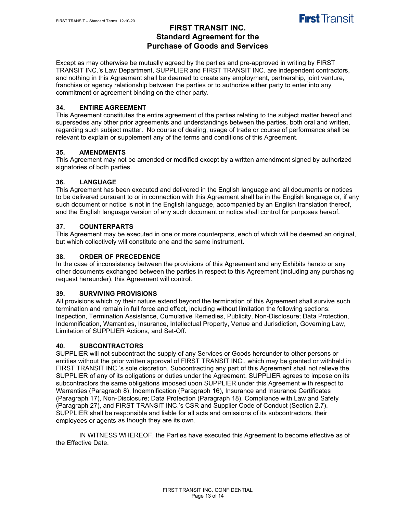

Except as may otherwise be mutually agreed by the parties and pre-approved in writing by FIRST TRANSIT INC.'s Law Department, SUPPLIER and FIRST TRANSIT INC. are independent contractors, and nothing in this Agreement shall be deemed to create any employment, partnership, joint venture, franchise or agency relationship between the parties or to authorize either party to enter into any commitment or agreement binding on the other party.

### **34. ENTIRE AGREEMENT**

This Agreement constitutes the entire agreement of the parties relating to the subject matter hereof and supersedes any other prior agreements and understandings between the parties, both oral and written, regarding such subject matter. No course of dealing, usage of trade or course of performance shall be relevant to explain or supplement any of the terms and conditions of this Agreement.

#### **35. AMENDMENTS**

This Agreement may not be amended or modified except by a written amendment signed by authorized signatories of both parties.

### **36. LANGUAGE**

This Agreement has been executed and delivered in the English language and all documents or notices to be delivered pursuant to or in connection with this Agreement shall be in the English language or, if any such document or notice is not in the English language, accompanied by an English translation thereof, and the English language version of any such document or notice shall control for purposes hereof.

### **37. COUNTERPARTS**

This Agreement may be executed in one or more counterparts, each of which will be deemed an original, but which collectively will constitute one and the same instrument.

#### **38. ORDER OF PRECEDENCE**

In the case of inconsistency between the provisions of this Agreement and any Exhibits hereto or any other documents exchanged between the parties in respect to this Agreement (including any purchasing request hereunder), this Agreement will control.

#### **39. SURVIVING PROVISIONS**

All provisions which by their nature extend beyond the termination of this Agreement shall survive such termination and remain in full force and effect, including without limitation the following sections: Inspection, Termination Assistance, Cumulative Remedies, Publicity, Non-Disclosure; Data Protection, Indemnification, Warranties, Insurance, Intellectual Property, Venue and Jurisdiction, Governing Law, Limitation of SUPPLIER Actions, and Set-Off.

#### **40. SUBCONTRACTORS**

SUPPLIER will not subcontract the supply of any Services or Goods hereunder to other persons or entities without the prior written approval of FIRST TRANSIT INC., which may be granted or withheld in FIRST TRANSIT INC.'s sole discretion. Subcontracting any part of this Agreement shall not relieve the SUPPLIER of any of its obligations or duties under the Agreement. SUPPLIER agrees to impose on its subcontractors the same obligations imposed upon SUPPLIER under this Agreement with respect to Warranties (Paragraph 8), Indemnification (Paragraph 16), Insurance and Insurance Certificates (Paragraph 17), Non-Disclosure; Data Protection (Paragraph 18), Compliance with Law and Safety (Paragraph 27), and FIRST TRANSIT INC.'s CSR and Supplier Code of Conduct (Section 2.7). SUPPLIER shall be responsible and liable for all acts and omissions of its subcontractors, their employees or agents as though they are its own.

IN WITNESS WHEREOF, the Parties have executed this Agreement to become effective as of the Effective Date.